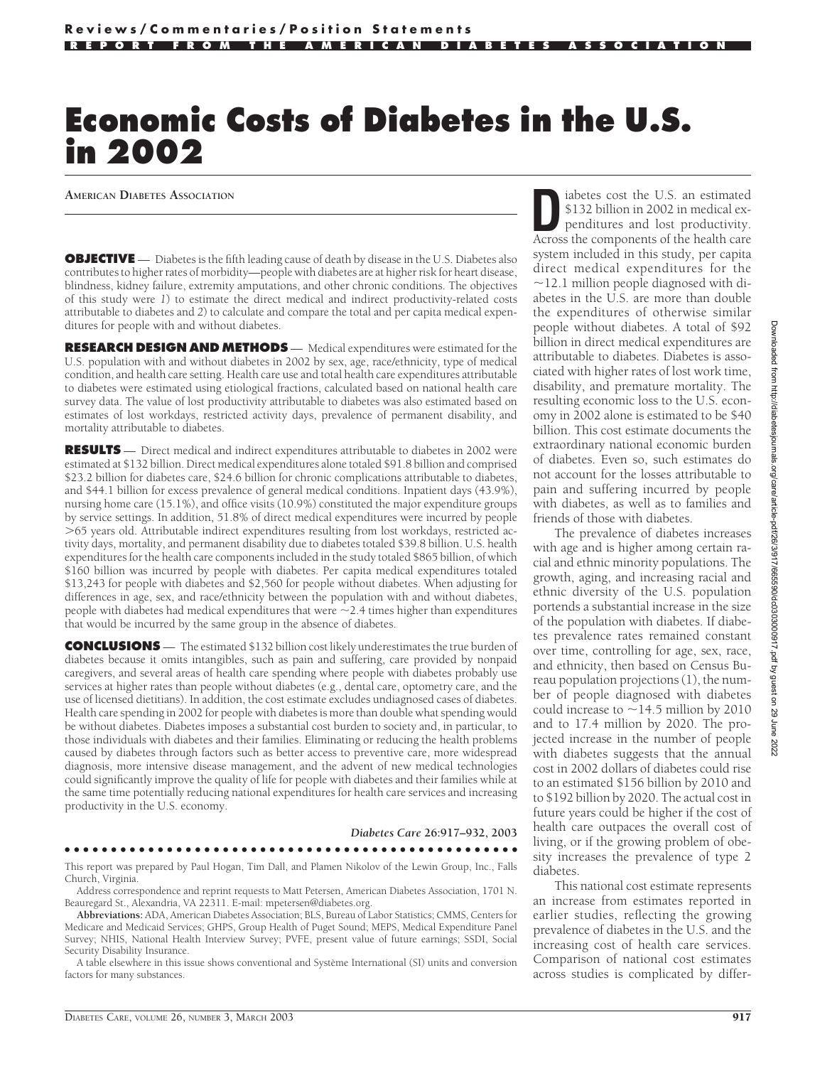# **Economic Costs of Diabetes in the U.S. in 2002**

#### **AMERICAN DIABETES ASSOCIATION**

**OBJECTIVE** — Diabetes is the fifth leading cause of death by disease in the U.S. Diabetes also contributes to higher rates of morbidity—people with diabetes are at higher risk for heart disease, blindness, kidney failure, extremity amputations, and other chronic conditions. The objectives of this study were *1*) to estimate the direct medical and indirect productivity-related costs attributable to diabetes and *2*) to calculate and compare the total and per capita medical expenditures for people with and without diabetes.

**RESEARCH DESIGN AND METHODS** — Medical expenditures were estimated for the U.S. population with and without diabetes in 2002 by sex, age, race/ethnicity, type of medical condition, and health care setting. Health care use and total health care expenditures attributable to diabetes were estimated using etiological fractions, calculated based on national health care survey data. The value of lost productivity attributable to diabetes was also estimated based on estimates of lost workdays, restricted activity days, prevalence of permanent disability, and mortality attributable to diabetes.

**RESULTS** — Direct medical and indirect expenditures attributable to diabetes in 2002 were estimated at \$132 billion. Direct medical expenditures alone totaled \$91.8 billion and comprised \$23.2 billion for diabetes care, \$24.6 billion for chronic complications attributable to diabetes, and \$44.1 billion for excess prevalence of general medical conditions. Inpatient days (43.9%), nursing home care (15.1%), and office visits (10.9%) constituted the major expenditure groups by service settings. In addition, 51.8% of direct medical expenditures were incurred by people 65 years old. Attributable indirect expenditures resulting from lost workdays, restricted activity days, mortality, and permanent disability due to diabetes totaled \$39.8 billion. U.S. health expenditures for the health care components included in the study totaled \$865 billion, of which \$160 billion was incurred by people with diabetes. Per capita medical expenditures totaled \$13,243 for people with diabetes and \$2,560 for people without diabetes. When adjusting for differences in age, sex, and race/ethnicity between the population with and without diabetes, people with diabetes had medical expenditures that were  $\sim$  2.4 times higher than expenditures that would be incurred by the same group in the absence of diabetes.

**CONCLUSIONS** — The estimated \$132 billion cost likely underestimates the true burden of diabetes because it omits intangibles, such as pain and suffering, care provided by nonpaid caregivers, and several areas of health care spending where people with diabetes probably use services at higher rates than people without diabetes (e.g., dental care, optometry care, and the use of licensed dietitians). In addition, the cost estimate excludes undiagnosed cases of diabetes. Health care spending in 2002 for people with diabetes is more than double what spending would be without diabetes. Diabetes imposes a substantial cost burden to society and, in particular, to those individuals with diabetes and their families. Eliminating or reducing the health problems caused by diabetes through factors such as better access to preventive care, more widespread diagnosis, more intensive disease management, and the advent of new medical technologies could significantly improve the quality of life for people with diabetes and their families while at the same time potentially reducing national expenditures for health care services and increasing productivity in the U.S. economy.

#### *Diabetes Care* **26:917–932, 2003**

## ●●●●●●●●●●●●●●●●●●●●●●●●●●●●●●●●●●●●●●●●●●●●●●●●●

This report was prepared by Paul Hogan, Tim Dall, and Plamen Nikolov of the Lewin Group, Inc., Falls Church, Virginia.

Address correspondence and reprint requests to Matt Petersen, American Diabetes Association, 1701 N. Beauregard St., Alexandria, VA 22311. E-mail: mpetersen@diabetes.org.

**Abbreviations:** ADA, American Diabetes Association; BLS, Bureau of Labor Statistics; CMMS, Centers for Medicare and Medicaid Services; GHPS, Group Health of Puget Sound; MEPS, Medical Expenditure Panel Survey; NHIS, National Health Interview Survey; PVFE, present value of future earnings; SSDI, Social Security Disability Insurance.

A table elsewhere in this issue shows conventional and Système International (SI) units and conversion factors for many substances.

subsetes cost the U.S. an estimated<br>\$132 billion in 2002 in medical ex-<br>penditures and lost productivity.<br>Across the components of the health care \$132 billion in 2002 in medical ex-Across the components of the health care system included in this study, per capita direct medical expenditures for the  $\sim$ 12.1 million people diagnosed with diabetes in the U.S. are more than double the expenditures of otherwise similar people without diabetes. A total of \$92 billion in direct medical expenditures are attributable to diabetes. Diabetes is associated with higher rates of lost work time, disability, and premature mortality. The resulting economic loss to the U.S. economy in 2002 alone is estimated to be \$40 billion. This cost estimate documents the extraordinary national economic burden of diabetes. Even so, such estimates do not account for the losses attributable to pain and suffering incurred by people with diabetes, as well as to families and friends of those with diabetes.

The prevalence of diabetes increases with age and is higher among certain racial and ethnic minority populations. The growth, aging, and increasing racial and ethnic diversity of the U.S. population portends a substantial increase in the size of the population with diabetes. If diabetes prevalence rates remained constant over time, controlling for age, sex, race, and ethnicity, then based on Census Bureau population projections (1), the number of people diagnosed with diabetes could increase to  $\sim$  14.5 million by 2010 and to 17.4 million by 2020. The projected increase in the number of people with diabetes suggests that the annual cost in 2002 dollars of diabetes could rise to an estimated \$156 billion by 2010 and to \$192 billion by 2020. The actual cost in future years could be higher if the cost of health care outpaces the overall cost of living, or if the growing problem of obesity increases the prevalence of type 2 diabetes.

This national cost estimate represents an increase from estimates reported in earlier studies, reflecting the growing prevalence of diabetes in the U.S. and the increasing cost of health care services. Comparison of national cost estimates across studies is complicated by differDownloaded from http://diabetesjournals.org/care/article-pdf/26/3/917/665590/dc0303090917.pdf by guest on 29 June 2022 Downloaded from http://diabetesjournals.org/care/article-pdf/26/3/917/665590/dc0303000917.pdf by guest on 29 June 2022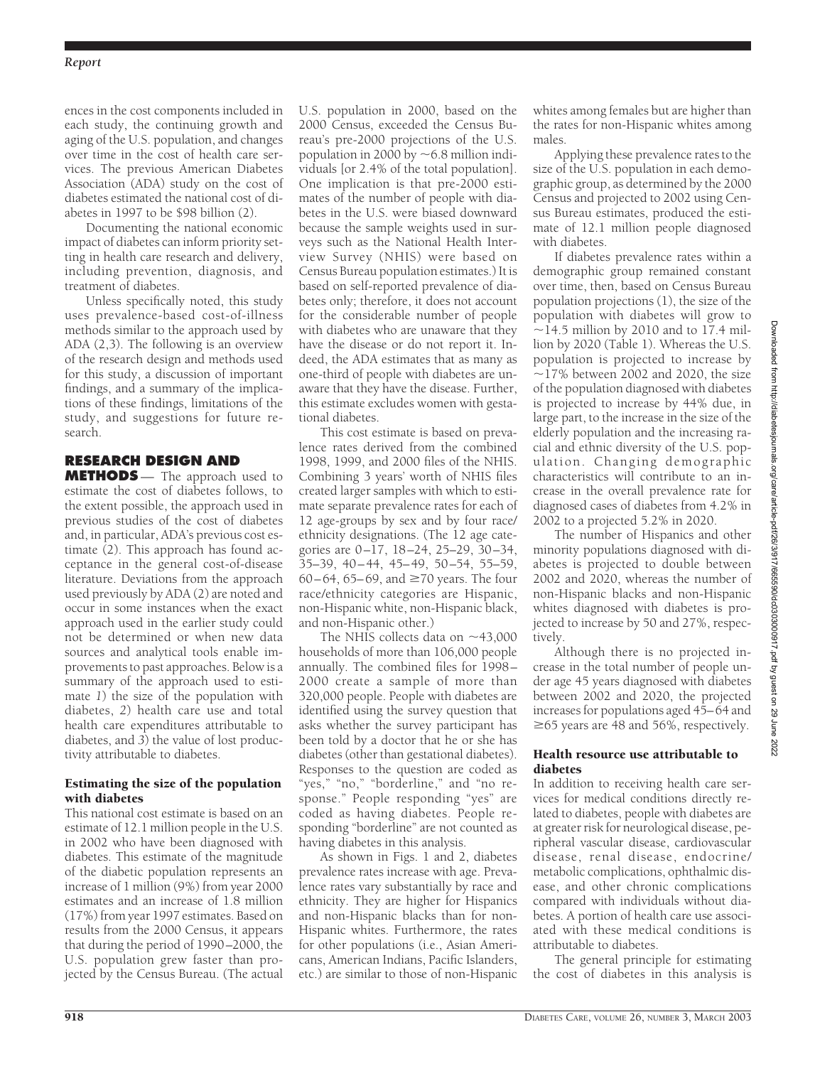ences in the cost components included in each study, the continuing growth and aging of the U.S. population, and changes over time in the cost of health care services. The previous American Diabetes Association (ADA) study on the cost of diabetes estimated the national cost of diabetes in 1997 to be \$98 billion (2).

Documenting the national economic impact of diabetes can inform priority setting in health care research and delivery, including prevention, diagnosis, and treatment of diabetes.

Unless specifically noted, this study uses prevalence-based cost-of-illness methods similar to the approach used by ADA (2,3). The following is an overview of the research design and methods used for this study, a discussion of important findings, and a summary of the implications of these findings, limitations of the study, and suggestions for future research.

# **RESEARCH DESIGN AND**

**METHODS** — The approach used to estimate the cost of diabetes follows, to the extent possible, the approach used in previous studies of the cost of diabetes and, in particular, ADA's previous cost estimate (2). This approach has found acceptance in the general cost-of-disease literature. Deviations from the approach used previously by ADA (2) are noted and occur in some instances when the exact approach used in the earlier study could not be determined or when new data sources and analytical tools enable improvements to past approaches. Below is a summary of the approach used to estimate *1*) the size of the population with diabetes, *2*) health care use and total health care expenditures attributable to diabetes, and *3*) the value of lost productivity attributable to diabetes.

#### Estimating the size of the population with diabetes

This national cost estimate is based on an estimate of 12.1 million people in the U.S. in 2002 who have been diagnosed with diabetes. This estimate of the magnitude of the diabetic population represents an increase of 1 million (9%) from year 2000 estimates and an increase of 1.8 million (17%) from year 1997 estimates. Based on results from the 2000 Census, it appears that during the period of 1990–2000, the U.S. population grew faster than projected by the Census Bureau. (The actual

U.S. population in 2000, based on the 2000 Census, exceeded the Census Bureau's pre-2000 projections of the U.S. population in 2000 by  $\sim$  6.8 million individuals [or 2.4% of the total population]. One implication is that pre-2000 estimates of the number of people with diabetes in the U.S. were biased downward because the sample weights used in surveys such as the National Health Interview Survey (NHIS) were based on Census Bureau population estimates.) It is based on self-reported prevalence of diabetes only; therefore, it does not account for the considerable number of people with diabetes who are unaware that they have the disease or do not report it. Indeed, the ADA estimates that as many as one-third of people with diabetes are unaware that they have the disease. Further, this estimate excludes women with gestational diabetes.

This cost estimate is based on prevalence rates derived from the combined 1998, 1999, and 2000 files of the NHIS. Combining 3 years' worth of NHIS files created larger samples with which to estimate separate prevalence rates for each of 12 age-groups by sex and by four race/ ethnicity designations. (The 12 age categories are 0–17, 18–24, 25–29, 30–34, 35–39, 40–44, 45–49, 50–54, 55–59, 60–64, 65–69, and  $\geq$  70 years. The four race/ethnicity categories are Hispanic, non-Hispanic white, non-Hispanic black, and non-Hispanic other.)

The NHIS collects data on  $\sim$ 43,000 households of more than 106,000 people annually. The combined files for 1998– 2000 create a sample of more than 320,000 people. People with diabetes are identified using the survey question that asks whether the survey participant has been told by a doctor that he or she has diabetes (other than gestational diabetes). Responses to the question are coded as "yes," "no," "borderline," and "no response." People responding "yes" are coded as having diabetes. People responding "borderline" are not counted as having diabetes in this analysis.

As shown in Figs. 1 and 2, diabetes prevalence rates increase with age. Prevalence rates vary substantially by race and ethnicity. They are higher for Hispanics and non-Hispanic blacks than for non-Hispanic whites. Furthermore, the rates for other populations (i.e., Asian Americans, American Indians, Pacific Islanders, etc.) are similar to those of non-Hispanic whites among females but are higher than the rates for non-Hispanic whites among males.

Applying these prevalence rates to the size of the U.S. population in each demographic group, as determined by the 2000 Census and projected to 2002 using Census Bureau estimates, produced the estimate of 12.1 million people diagnosed with diabetes.

If diabetes prevalence rates within a demographic group remained constant over time, then, based on Census Bureau population projections (1), the size of the population with diabetes will grow to  $\sim$ 14.5 million by 2010 and to 17.4 million by 2020 (Table 1). Whereas the U.S. population is projected to increase by  $\sim$ 17% between 2002 and 2020, the size of the population diagnosed with diabetes is projected to increase by 44% due, in large part, to the increase in the size of the elderly population and the increasing racial and ethnic diversity of the U.S. population. Changing demographic characteristics will contribute to an increase in the overall prevalence rate for diagnosed cases of diabetes from 4.2% in 2002 to a projected 5.2% in 2020.

The number of Hispanics and other minority populations diagnosed with diabetes is projected to double between 2002 and 2020, whereas the number of non-Hispanic blacks and non-Hispanic whites diagnosed with diabetes is projected to increase by 50 and 27%, respectively.

Although there is no projected increase in the total number of people under age 45 years diagnosed with diabetes between 2002 and 2020, the projected increases for populations aged 45–64 and  $\geq$ 65 years are 48 and 56%, respectively.

#### Health resource use attributable to diabetes

In addition to receiving health care services for medical conditions directly related to diabetes, people with diabetes are at greater risk for neurological disease, peripheral vascular disease, cardiovascular disease, renal disease, endocrine/ metabolic complications, ophthalmic disease, and other chronic complications compared with individuals without diabetes. A portion of health care use associated with these medical conditions is attributable to diabetes.

The general principle for estimating the cost of diabetes in this analysis is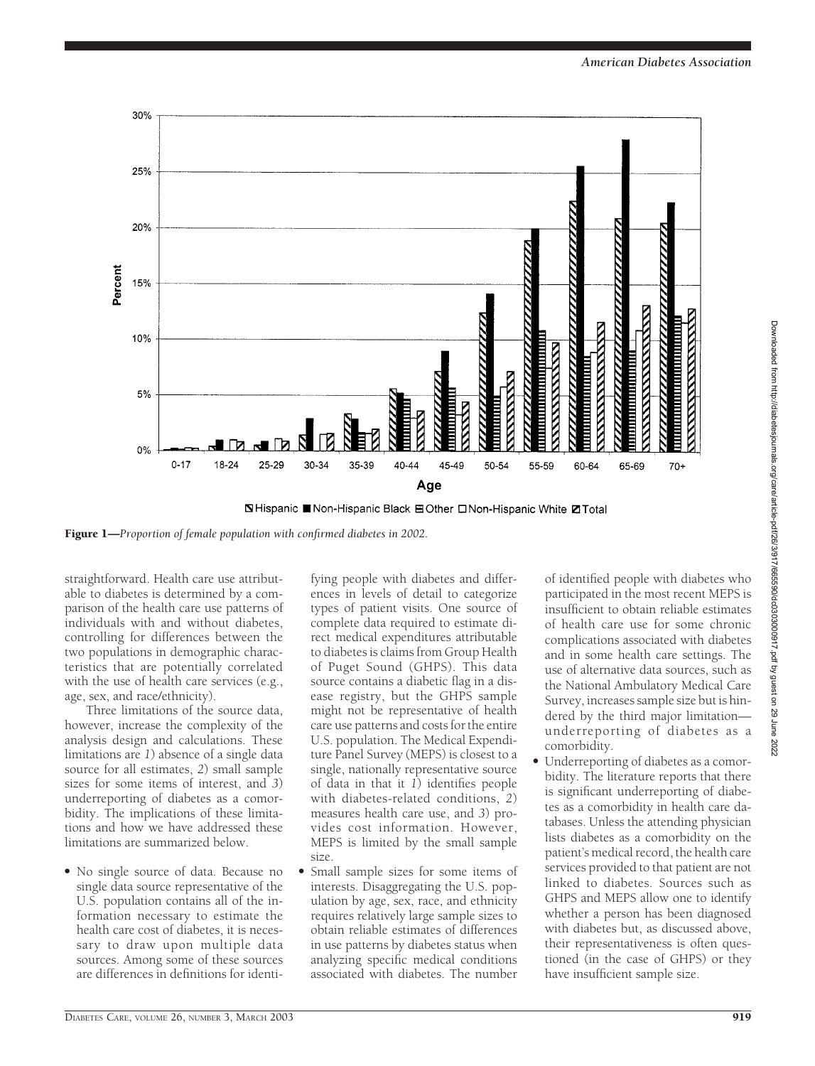

N Hispanic ■ Non-Hispanic Black EOther □ Non-Hispanic White Z Total

Figure 1—*Proportion of female population with confirmed diabetes in 2002.*

straightforward. Health care use attributable to diabetes is determined by a comparison of the health care use patterns of individuals with and without diabetes, controlling for differences between the two populations in demographic characteristics that are potentially correlated with the use of health care services (e.g., age, sex, and race/ethnicity).

Three limitations of the source data, however, increase the complexity of the analysis design and calculations. These limitations are *1*) absence of a single data source for all estimates, *2*) small sample sizes for some items of interest, and *3*) underreporting of diabetes as a comorbidity. The implications of these limitations and how we have addressed these limitations are summarized below.

● No single source of data. Because no single data source representative of the U.S. population contains all of the information necessary to estimate the health care cost of diabetes, it is necessary to draw upon multiple data sources. Among some of these sources are differences in definitions for identifying people with diabetes and differences in levels of detail to categorize types of patient visits. One source of complete data required to estimate direct medical expenditures attributable to diabetes is claims from Group Health of Puget Sound (GHPS). This data source contains a diabetic flag in a disease registry, but the GHPS sample might not be representative of health care use patterns and costs for the entire U.S. population. The Medical Expenditure Panel Survey (MEPS) is closest to a single, nationally representative source of data in that it *1*) identifies people with diabetes-related conditions, *2*) measures health care use, and *3*) provides cost information. However, MEPS is limited by the small sample size.

● Small sample sizes for some items of interests. Disaggregating the U.S. population by age, sex, race, and ethnicity requires relatively large sample sizes to obtain reliable estimates of differences in use patterns by diabetes status when analyzing specific medical conditions associated with diabetes. The number

of identified people with diabetes who participated in the most recent MEPS is insufficient to obtain reliable estimates of health care use for some chronic complications associated with diabetes and in some health care settings. The use of alternative data sources, such as the National Ambulatory Medical Care Survey, increases sample size but is hindered by the third major limitation underreporting of diabetes as a comorbidity.

Underreporting of diabetes as a comorbidity. The literature reports that there is significant underreporting of diabetes as a comorbidity in health care databases. Unless the attending physician lists diabetes as a comorbidity on the patient's medical record, the health care services provided to that patient are not linked to diabetes. Sources such as GHPS and MEPS allow one to identify whether a person has been diagnosed with diabetes but, as discussed above, their representativeness is often questioned (in the case of GHPS) or they have insufficient sample size.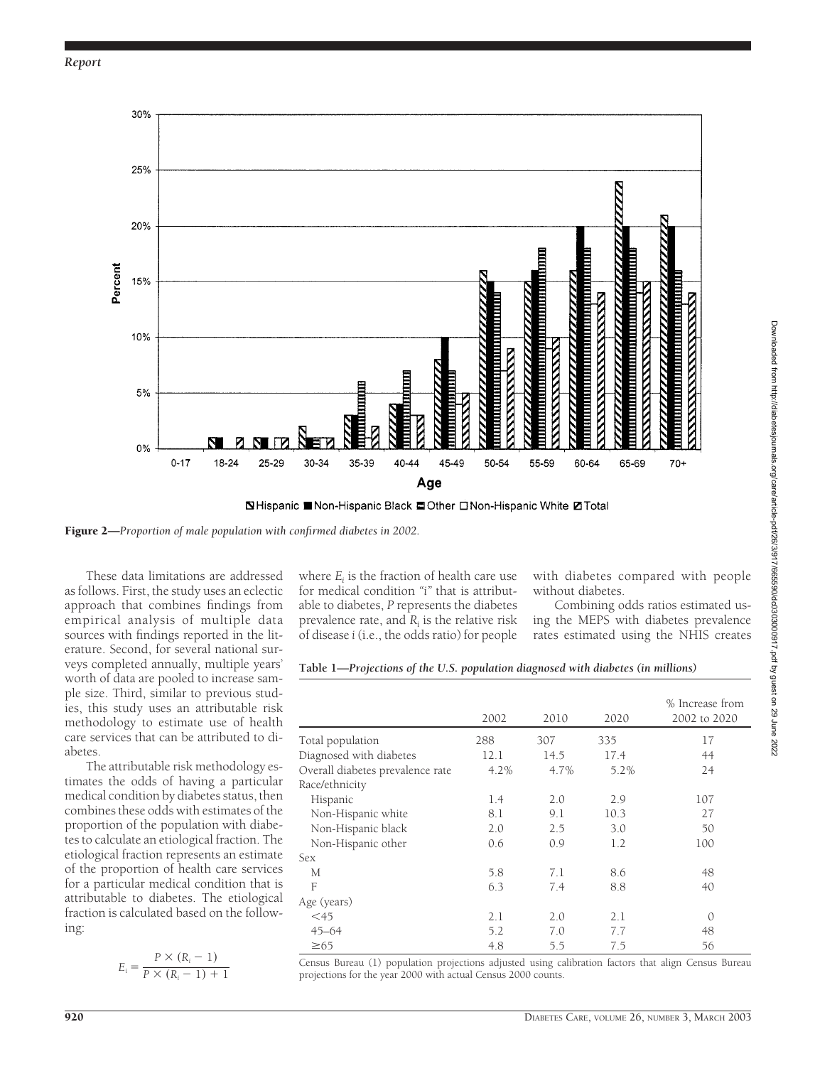



NHispanic ■Non-Hispanic Black ■Other □Non-Hispanic White Z Total

Figure 2—*Proportion of male population with confirmed diabetes in 2002.*

These data limitations are addressed as follows. First, the study uses an eclectic approach that combines findings from empirical analysis of multiple data sources with findings reported in the literature. Second, for several national surveys completed annually, multiple years' worth of data are pooled to increase sample size. Third, similar to previous studies, this study uses an attributable risk methodology to estimate use of health care services that can be attributed to diabetes.

The attributable risk methodology estimates the odds of having a particular medical condition by diabetes status, then combines these odds with estimates of the proportion of the population with diabetes to calculate an etiological fraction. The etiological fraction represents an estimate of the proportion of health care services for a particular medical condition that is attributable to diabetes. The etiological fraction is calculated based on the following:

$$
E_i = \frac{P \times (R_i - 1)}{P \times (R_i - 1) + 1}
$$

where  $E_i$  is the fraction of health care use for medical condition *"i"* that is attributable to diabetes, *P* represents the diabetes prevalence rate, and *Ri* is the relative risk of disease *i* (i.e., the odds ratio) for people

with diabetes compared with people without diabetes.

Combining odds ratios estimated using the MEPS with diabetes prevalence rates estimated using the NHIS creates

| Table 1-Projections of the U.S. population diagnosed with diabetes (in millions) |  |  |  |
|----------------------------------------------------------------------------------|--|--|--|
|                                                                                  |  |  |  |

|                                  | 2002    | 2010 | 2020 | % Increase from<br>2002 to 2020 |
|----------------------------------|---------|------|------|---------------------------------|
| Total population                 | 288     | 307  | 335  | 17                              |
| Diagnosed with diabetes          | 12.1    | 14.5 | 17.4 | 44                              |
| Overall diabetes prevalence rate | $4.2\%$ | 4.7% | 5.2% | 24                              |
| Race/ethnicity                   |         |      |      |                                 |
| Hispanic                         | 1.4     | 2.0  | 2.9  | 107                             |
| Non-Hispanic white               | 8.1     | 9.1  | 10.3 | 27                              |
| Non-Hispanic black               | 2.0     | 2.5  | 3.0  | 50                              |
| Non-Hispanic other               | 0.6     | 0.9  | 1.2  | 100                             |
| <b>Sex</b>                       |         |      |      |                                 |
| M                                | 5.8     | 7.1  | 8.6  | 48                              |
| F                                | 6.3     | 7.4  | 8.8  | 40                              |
| Age (years)                      |         |      |      |                                 |
| $<$ 45                           | 2.1     | 2.0  | 2.1  | 0                               |
| $45 - 64$                        | 5.2     | 7.0  | 7.7  | 48                              |
| $\geq 65$                        | 4.8     | 5.5  | 7.5  | 56                              |

Census Bureau (1) population projections adjusted using calibration factors that align Census Bureau projections for the year 2000 with actual Census 2000 counts.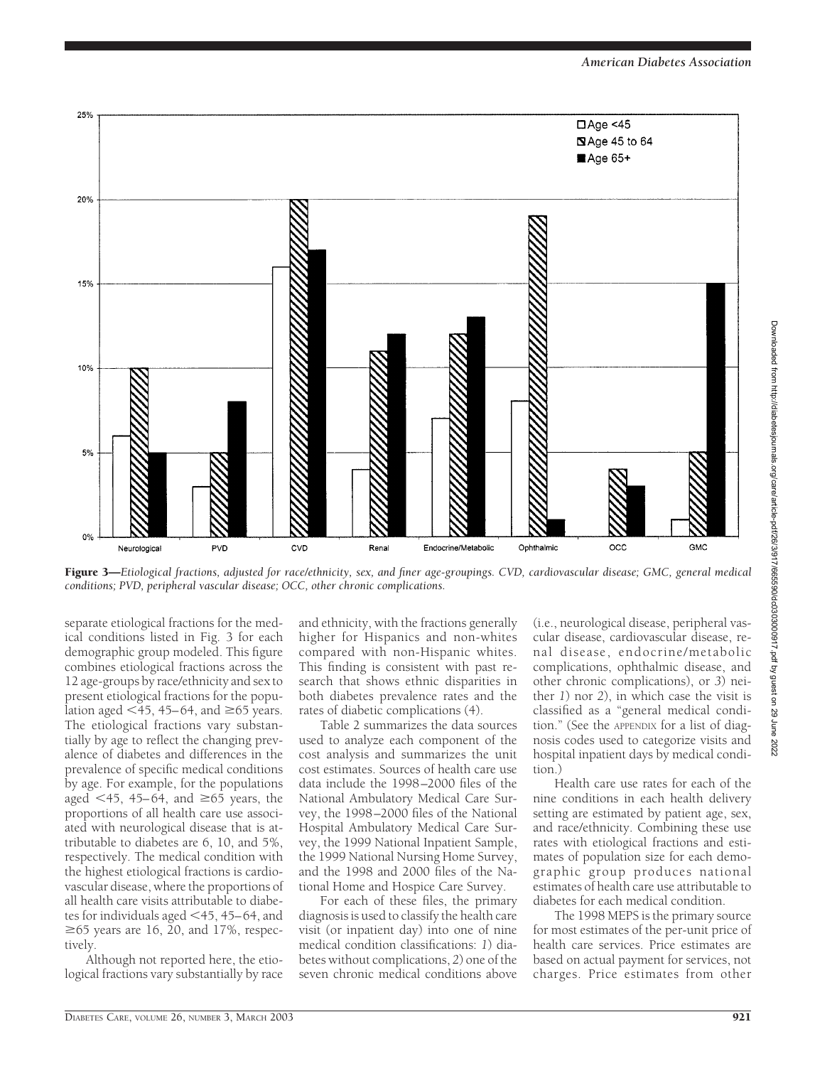

Figure 3—*Etiological fractions, adjusted for race/ethnicity, sex, and finer age-groupings. CVD, cardiovascular disease; GMC, general medical conditions; PVD, peripheral vascular disease; OCC, other chronic complications.*

separate etiological fractions for the medical conditions listed in Fig. 3 for each demographic group modeled. This figure combines etiological fractions across the 12 age-groups by race/ethnicity and sex to present etiological fractions for the population aged  $\leq$ 45, 45–64, and  $\geq$ 65 years. The etiological fractions vary substantially by age to reflect the changing prevalence of diabetes and differences in the prevalence of specific medical conditions by age. For example, for the populations aged  $\leq$ 45, 45–64, and  $\geq$ 65 years, the proportions of all health care use associated with neurological disease that is attributable to diabetes are 6, 10, and 5%, respectively. The medical condition with the highest etiological fractions is cardiovascular disease, where the proportions of all health care visits attributable to diabetes for individuals aged  $\leq$ 45, 45–64, and  $\geq$ 65 years are 16, 20, and 17%, respectively.

Although not reported here, the etiological fractions vary substantially by race and ethnicity, with the fractions generally higher for Hispanics and non-whites compared with non-Hispanic whites. This finding is consistent with past research that shows ethnic disparities in both diabetes prevalence rates and the rates of diabetic complications (4).

Table 2 summarizes the data sources used to analyze each component of the cost analysis and summarizes the unit cost estimates. Sources of health care use data include the 1998–2000 files of the National Ambulatory Medical Care Survey, the 1998–2000 files of the National Hospital Ambulatory Medical Care Survey, the 1999 National Inpatient Sample, the 1999 National Nursing Home Survey, and the 1998 and 2000 files of the National Home and Hospice Care Survey.

For each of these files, the primary diagnosis is used to classify the health care visit (or inpatient day) into one of nine medical condition classifications: *1*) diabetes without complications, *2*) one of the seven chronic medical conditions above

(i.e., neurological disease, peripheral vascular disease, cardiovascular disease, renal disease, endocrine/metabolic complications, ophthalmic disease, and other chronic complications), or *3*) neither *1*) nor *2*), in which case the visit is classified as a "general medical condition." (See the APPENDIX for a list of diagnosis codes used to categorize visits and hospital inpatient days by medical condition.)

Health care use rates for each of the nine conditions in each health delivery setting are estimated by patient age, sex, and race/ethnicity. Combining these use rates with etiological fractions and estimates of population size for each demographic group produces national estimates of health care use attributable to diabetes for each medical condition.

The 1998 MEPS is the primary source for most estimates of the per-unit price of health care services. Price estimates are based on actual payment for services, not charges. Price estimates from other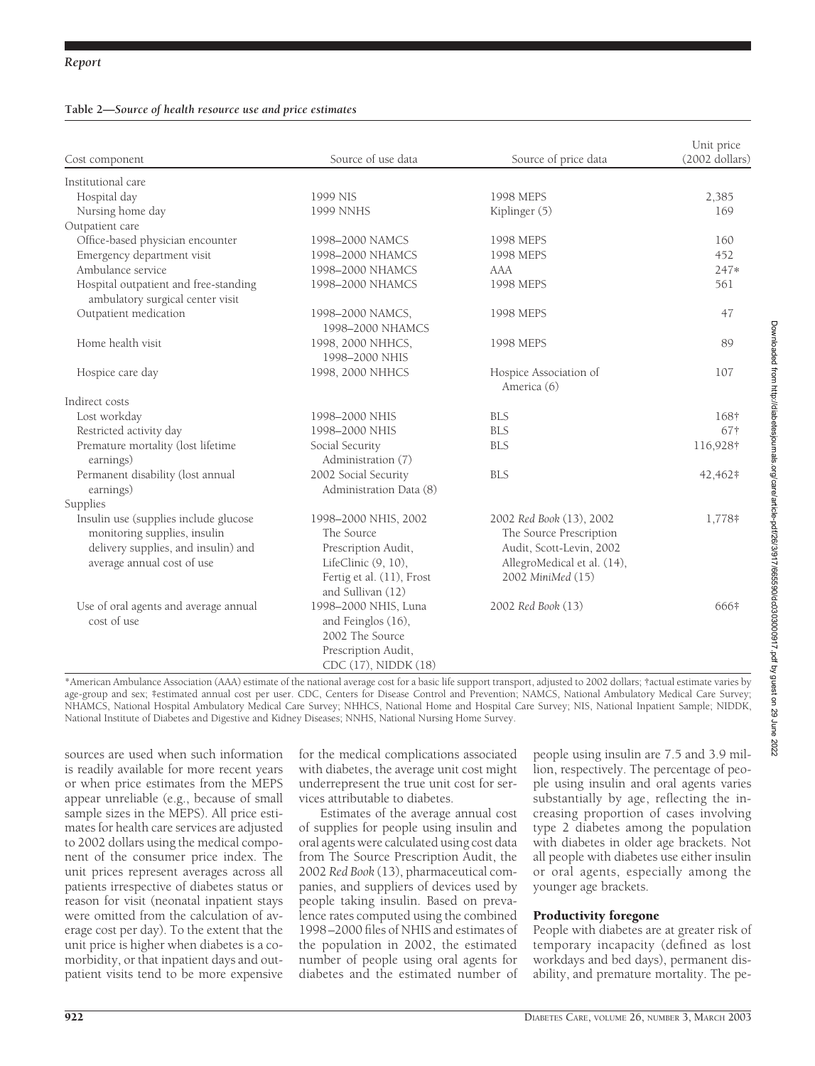| Table 2-Source of health resource use and price estimates |  |  |  |
|-----------------------------------------------------------|--|--|--|
|                                                           |  |  |  |

| Cost component                                                                                                                             | Source of use data                                                                                                                    | Source of price data                                                                                                                | Unit price<br>(2002 dollars) |
|--------------------------------------------------------------------------------------------------------------------------------------------|---------------------------------------------------------------------------------------------------------------------------------------|-------------------------------------------------------------------------------------------------------------------------------------|------------------------------|
| Institutional care                                                                                                                         |                                                                                                                                       |                                                                                                                                     |                              |
| Hospital day                                                                                                                               | 1999 NIS                                                                                                                              | 1998 MEPS                                                                                                                           | 2,385                        |
| Nursing home day                                                                                                                           | <b>1999 NNHS</b>                                                                                                                      | Kiplinger (5)                                                                                                                       | 169                          |
| Outpatient care                                                                                                                            |                                                                                                                                       |                                                                                                                                     |                              |
| Office-based physician encounter                                                                                                           | 1998-2000 NAMCS                                                                                                                       | <b>1998 MEPS</b>                                                                                                                    | 160                          |
| Emergency department visit                                                                                                                 | 1998-2000 NHAMCS                                                                                                                      | <b>1998 MEPS</b>                                                                                                                    | 452                          |
| Ambulance service                                                                                                                          | 1998-2000 NHAMCS                                                                                                                      | <b>AAA</b>                                                                                                                          | 247*                         |
| Hospital outpatient and free-standing<br>ambulatory surgical center visit                                                                  | 1998-2000 NHAMCS                                                                                                                      | <b>1998 MEPS</b>                                                                                                                    | 561                          |
| Outpatient medication                                                                                                                      | 1998-2000 NAMCS,<br>1998-2000 NHAMCS                                                                                                  | 1998 MEPS                                                                                                                           | 47                           |
| Home health visit                                                                                                                          | 1998, 2000 NHHCS,<br>1998-2000 NHIS                                                                                                   | 1998 MEPS                                                                                                                           | 89                           |
| Hospice care day                                                                                                                           | 1998, 2000 NHHCS                                                                                                                      | Hospice Association of<br>America (6)                                                                                               | 107                          |
| Indirect costs                                                                                                                             |                                                                                                                                       |                                                                                                                                     |                              |
| Lost workday                                                                                                                               | 1998-2000 NHIS                                                                                                                        | <b>BLS</b>                                                                                                                          | 168†                         |
| Restricted activity day                                                                                                                    | 1998-2000 NHIS                                                                                                                        | <b>BLS</b>                                                                                                                          | 67†                          |
| Premature mortality (lost lifetime                                                                                                         | Social Security                                                                                                                       | <b>BLS</b>                                                                                                                          | 116,928†                     |
| earnings)                                                                                                                                  | Administration (7)                                                                                                                    |                                                                                                                                     |                              |
| Permanent disability (lost annual<br>earnings)                                                                                             | 2002 Social Security<br>Administration Data (8)                                                                                       | <b>BLS</b>                                                                                                                          | 42,462#                      |
| Supplies                                                                                                                                   |                                                                                                                                       |                                                                                                                                     |                              |
| Insulin use (supplies include glucose<br>monitoring supplies, insulin<br>delivery supplies, and insulin) and<br>average annual cost of use | 1998-2000 NHIS, 2002<br>The Source<br>Prescription Audit,<br>LifeClinic $(9, 10)$ ,<br>Fertig et al. (11), Frost<br>and Sullivan (12) | 2002 Red Book (13), 2002<br>The Source Prescription<br>Audit, Scott-Levin, 2002<br>AllegroMedical et al. (14),<br>2002 MiniMed (15) | 1,778‡                       |
| Use of oral agents and average annual<br>cost of use                                                                                       | 1998-2000 NHIS, Luna<br>and Feinglos (16),<br>2002 The Source<br>Prescription Audit,<br>CDC (17), NIDDK (18)                          | 2002 Red Book (13)                                                                                                                  | 666‡                         |

\*American Ambulance Association (AAA) estimate of the national average cost for a basic life support transport, adjusted to 2002 dollars; †actual estimate varies by age-group and sex; ‡estimated annual cost per user. CDC, Centers for Disease Control and Prevention; NAMCS, National Ambulatory Medical Care Survey; NHAMCS, National Hospital Ambulatory Medical Care Survey; NHHCS, National Home and Hospital Care Survey; NIS, National Inpatient Sample; NIDDK, National Institute of Diabetes and Digestive and Kidney Diseases; NNHS, National Nursing Home Survey.

sources are used when such information is readily available for more recent years or when price estimates from the MEPS appear unreliable (e.g., because of small sample sizes in the MEPS). All price estimates for health care services are adjusted to 2002 dollars using the medical component of the consumer price index. The unit prices represent averages across all patients irrespective of diabetes status or reason for visit (neonatal inpatient stays were omitted from the calculation of average cost per day). To the extent that the unit price is higher when diabetes is a comorbidity, or that inpatient days and outpatient visits tend to be more expensive

for the medical complications associated with diabetes, the average unit cost might underrepresent the true unit cost for services attributable to diabetes.

Estimates of the average annual cost of supplies for people using insulin and oral agents were calculated using cost data from The Source Prescription Audit, the 2002 *Red Book* (13), pharmaceutical companies, and suppliers of devices used by people taking insulin. Based on prevalence rates computed using the combined 1998–2000 files of NHIS and estimates of the population in 2002, the estimated number of people using oral agents for diabetes and the estimated number of

people using insulin are 7.5 and 3.9 million, respectively. The percentage of people using insulin and oral agents varies substantially by age, reflecting the increasing proportion of cases involving type 2 diabetes among the population with diabetes in older age brackets. Not all people with diabetes use either insulin or oral agents, especially among the younger age brackets.

## Productivity foregone

People with diabetes are at greater risk of temporary incapacity (defined as lost workdays and bed days), permanent disability, and premature mortality. The pe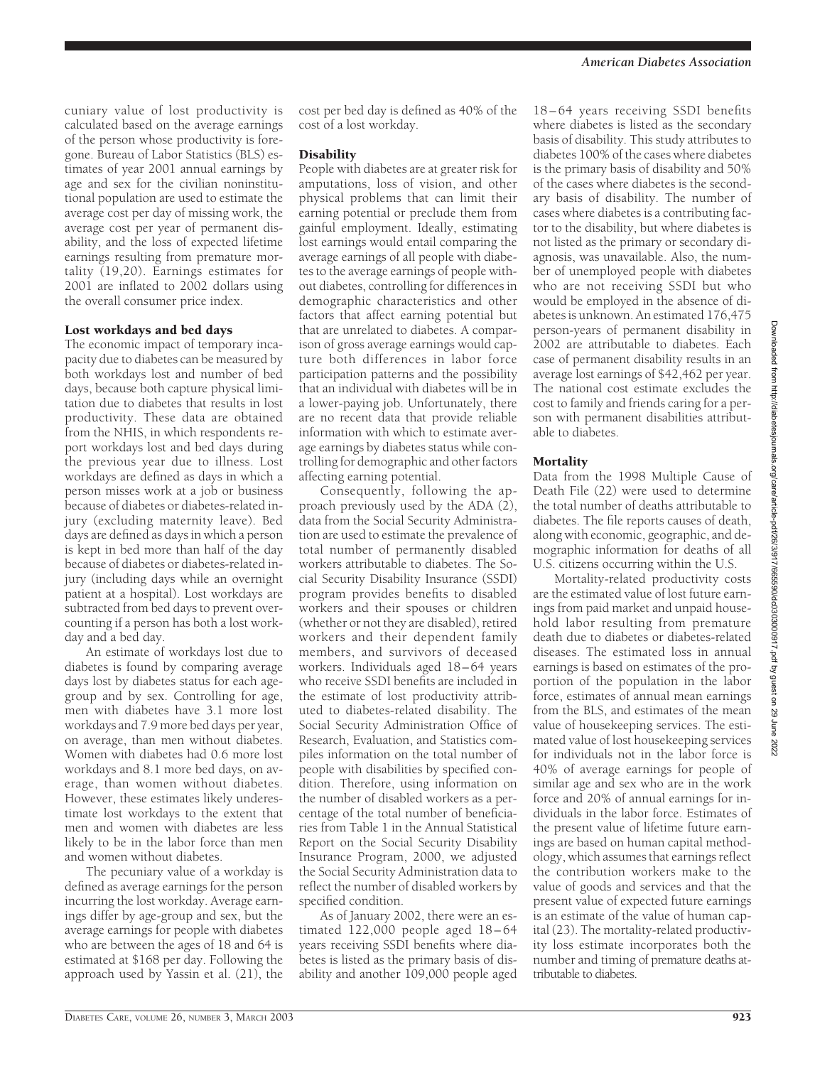cuniary value of lost productivity is calculated based on the average earnings of the person whose productivity is foregone. Bureau of Labor Statistics (BLS) estimates of year 2001 annual earnings by age and sex for the civilian noninstitutional population are used to estimate the average cost per day of missing work, the average cost per year of permanent disability, and the loss of expected lifetime earnings resulting from premature mortality (19,20). Earnings estimates for 2001 are inflated to 2002 dollars using the overall consumer price index.

# Lost workdays and bed days

The economic impact of temporary incapacity due to diabetes can be measured by both workdays lost and number of bed days, because both capture physical limitation due to diabetes that results in lost productivity. These data are obtained from the NHIS, in which respondents report workdays lost and bed days during the previous year due to illness. Lost workdays are defined as days in which a person misses work at a job or business because of diabetes or diabetes-related injury (excluding maternity leave). Bed days are defined as days in which a person is kept in bed more than half of the day because of diabetes or diabetes-related injury (including days while an overnight patient at a hospital). Lost workdays are subtracted from bed days to prevent overcounting if a person has both a lost workday and a bed day.

An estimate of workdays lost due to diabetes is found by comparing average days lost by diabetes status for each agegroup and by sex. Controlling for age, men with diabetes have 3.1 more lost workdays and 7.9 more bed days per year, on average, than men without diabetes. Women with diabetes had 0.6 more lost workdays and 8.1 more bed days, on average, than women without diabetes. However, these estimates likely underestimate lost workdays to the extent that men and women with diabetes are less likely to be in the labor force than men and women without diabetes.

The pecuniary value of a workday is defined as average earnings for the person incurring the lost workday. Average earnings differ by age-group and sex, but the average earnings for people with diabetes who are between the ages of 18 and 64 is estimated at \$168 per day. Following the approach used by Yassin et al. (21), the

cost per bed day is defined as 40% of the cost of a lost workday.

# **Disability**

People with diabetes are at greater risk for amputations, loss of vision, and other physical problems that can limit their earning potential or preclude them from gainful employment. Ideally, estimating lost earnings would entail comparing the average earnings of all people with diabetes to the average earnings of people without diabetes, controlling for differences in demographic characteristics and other factors that affect earning potential but that are unrelated to diabetes. A comparison of gross average earnings would capture both differences in labor force participation patterns and the possibility that an individual with diabetes will be in a lower-paying job. Unfortunately, there are no recent data that provide reliable information with which to estimate average earnings by diabetes status while controlling for demographic and other factors affecting earning potential.

Consequently, following the approach previously used by the ADA (2), data from the Social Security Administration are used to estimate the prevalence of total number of permanently disabled workers attributable to diabetes. The Social Security Disability Insurance (SSDI) program provides benefits to disabled workers and their spouses or children (whether or not they are disabled), retired workers and their dependent family members, and survivors of deceased workers. Individuals aged 18–64 years who receive SSDI benefits are included in the estimate of lost productivity attributed to diabetes-related disability. The Social Security Administration Office of Research, Evaluation, and Statistics compiles information on the total number of people with disabilities by specified condition. Therefore, using information on the number of disabled workers as a percentage of the total number of beneficiaries from Table 1 in the Annual Statistical Report on the Social Security Disability Insurance Program, 2000, we adjusted the Social Security Administration data to reflect the number of disabled workers by specified condition.

As of January 2002, there were an estimated 122,000 people aged 18 – 64 years receiving SSDI benefits where diabetes is listed as the primary basis of disability and another 109,000 people aged

18-64 years receiving SSDI benefits where diabetes is listed as the secondary basis of disability. This study attributes to diabetes 100% of the cases where diabetes is the primary basis of disability and 50% of the cases where diabetes is the secondary basis of disability. The number of cases where diabetes is a contributing factor to the disability, but where diabetes is not listed as the primary or secondary diagnosis, was unavailable. Also, the number of unemployed people with diabetes who are not receiving SSDI but who would be employed in the absence of diabetes is unknown. An estimated 176,475 person-years of permanent disability in 2002 are attributable to diabetes. Each case of permanent disability results in an average lost earnings of \$42,462 per year. The national cost estimate excludes the cost to family and friends caring for a person with permanent disabilities attributable to diabetes.

## **Mortality**

Data from the 1998 Multiple Cause of Death File (22) were used to determine the total number of deaths attributable to diabetes. The file reports causes of death, along with economic, geographic, and demographic information for deaths of all U.S. citizens occurring within the U.S.

Mortality-related productivity costs are the estimated value of lost future earnings from paid market and unpaid household labor resulting from premature death due to diabetes or diabetes-related diseases. The estimated loss in annual earnings is based on estimates of the proportion of the population in the labor force, estimates of annual mean earnings from the BLS, and estimates of the mean value of housekeeping services. The estimated value of lost housekeeping services for individuals not in the labor force is 40% of average earnings for people of similar age and sex who are in the work force and 20% of annual earnings for individuals in the labor force. Estimates of the present value of lifetime future earnings are based on human capital methodology, which assumes that earnings reflect the contribution workers make to the value of goods and services and that the present value of expected future earnings is an estimate of the value of human capital (23). The mortality-related productivity loss estimate incorporates both the number and timing of premature deaths attributable to diabetes.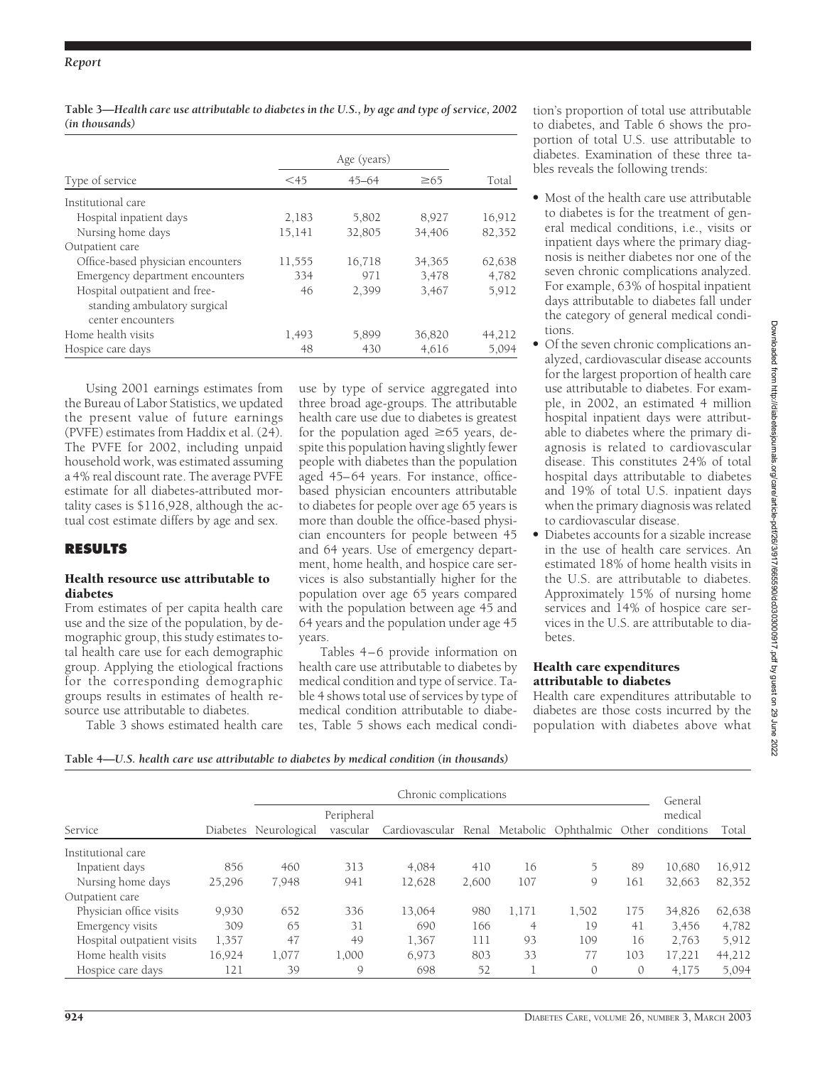|                                   | Age (years) |           |           |        |  |  |  |
|-----------------------------------|-------------|-----------|-----------|--------|--|--|--|
| Type of service                   | $<$ 45      | $45 - 64$ | $\geq 65$ | Total  |  |  |  |
| Institutional care                |             |           |           |        |  |  |  |
| Hospital inpatient days           | 2,183       | 5,802     | 8,927     | 16,912 |  |  |  |
| Nursing home days                 | 15,141      | 32,805    | 34,406    | 82,352 |  |  |  |
| Outpatient care                   |             |           |           |        |  |  |  |
| Office-based physician encounters | 11,555      | 16,718    | 34,365    | 62,638 |  |  |  |
| Emergency department encounters   | 334         | 971       | 3,478     | 4,782  |  |  |  |
| Hospital outpatient and free-     | 46          | 2,399     | 3,467     | 5,912  |  |  |  |
| standing ambulatory surgical      |             |           |           |        |  |  |  |
| center encounters                 |             |           |           |        |  |  |  |
| Home health visits                | 1,493       | 5,899     | 36,820    | 44,212 |  |  |  |
| Hospice care days                 | 48          | 430       | 4.616     | 5,094  |  |  |  |

**Table 3—***Health care use attributable to diabetes in the U.S., by age and type of service, 2002 (in thousands)*

Using 2001 earnings estimates from the Bureau of Labor Statistics, we updated the present value of future earnings (PVFE) estimates from Haddix et al. (24). The PVFE for 2002, including unpaid household work, was estimated assuming a 4% real discount rate. The average PVFE estimate for all diabetes-attributed mortality cases is \$116,928, although the actual cost estimate differs by age and sex.

## **RESULTS**

#### Health resource use attributable to diabetes

From estimates of per capita health care use and the size of the population, by demographic group, this study estimates total health care use for each demographic group. Applying the etiological fractions for the corresponding demographic groups results in estimates of health resource use attributable to diabetes.

Table 3 shows estimated health care

use by type of service aggregated into three broad age-groups. The attributable health care use due to diabetes is greatest for the population aged  $\geq 65$  years, despite this population having slightly fewer people with diabetes than the population aged 45–64 years. For instance, officebased physician encounters attributable to diabetes for people over age 65 years is more than double the office-based physician encounters for people between 45 and 64 years. Use of emergency department, home health, and hospice care services is also substantially higher for the population over age 65 years compared with the population between age 45 and 64 years and the population under age 45 years.

Tables 4–6 provide information on health care use attributable to diabetes by medical condition and type of service. Table 4 shows total use of services by type of medical condition attributable to diabetes, Table 5 shows each medical condition's proportion of total use attributable to diabetes, and Table 6 shows the proportion of total U.S. use attributable to diabetes. Examination of these three tables reveals the following trends:

- Most of the health care use attributable to diabetes is for the treatment of general medical conditions, i.e., visits or inpatient days where the primary diagnosis is neither diabetes nor one of the seven chronic complications analyzed. For example, 63% of hospital inpatient days attributable to diabetes fall under the category of general medical conditions.
- Of the seven chronic complications analyzed, cardiovascular disease accounts for the largest proportion of health care use attributable to diabetes. For example, in 2002, an estimated 4 million hospital inpatient days were attributable to diabetes where the primary diagnosis is related to cardiovascular disease. This constitutes 24% of total hospital days attributable to diabetes and 19% of total U.S. inpatient days when the primary diagnosis was related to cardiovascular disease.
- Diabetes accounts for a sizable increase in the use of health care services. An estimated 18% of home health visits in the U.S. are attributable to diabetes. Approximately 15% of nursing home services and 14% of hospice care services in the U.S. are attributable to diabetes.

#### Health care expenditures attributable to diabetes

Health care expenditures attributable to diabetes are those costs incurred by the population with diabetes above what

**Table 4—***U.S. health care use attributable to diabetes by medical condition (in thousands)*

|                            |        | Chronic complications |            |                                                 |       |       |          |               | General    |        |
|----------------------------|--------|-----------------------|------------|-------------------------------------------------|-------|-------|----------|---------------|------------|--------|
|                            |        |                       | Peripheral |                                                 |       |       |          |               | medical    |        |
| Service                    |        | Diabetes Neurological | vascular   | Cardiovascular Renal Metabolic Ophthalmic Other |       |       |          |               | conditions | Total  |
| Institutional care         |        |                       |            |                                                 |       |       |          |               |            |        |
| Inpatient days             | 856    | 460                   | 313        | 4.084                                           | 410   | 16    | 5        | 89            | 10.680     | 16,912 |
| Nursing home days          | 25,296 | 7,948                 | 941        | 12,628                                          | 2,600 | 107   | 9        | 161           | 32,663     | 82,352 |
| Outpatient care            |        |                       |            |                                                 |       |       |          |               |            |        |
| Physician office visits    | 9,930  | 652                   | 336        | 13,064                                          | 980   | 1,171 | 1,502    | 175           | 34,826     | 62,638 |
| Emergency visits           | 309    | 65                    | 31         | 690                                             | 166   | 4     | 19       | 41            | 3.456      | 4,782  |
| Hospital outpatient visits | 1.357  | 47                    | 49         | 1,367                                           | 111   | 93    | 109      | 16            | 2.763      | 5,912  |
| Home health visits         | 16.924 | 1.077                 | 1,000      | 6.973                                           | 803   | 33    | 77       | 103           | 17,221     | 44,212 |
| Hospice care days          | 121    | 39                    | 9          | 698                                             | 52    |       | $\theta$ | $\mathcal{O}$ | 4.175      | 5,094  |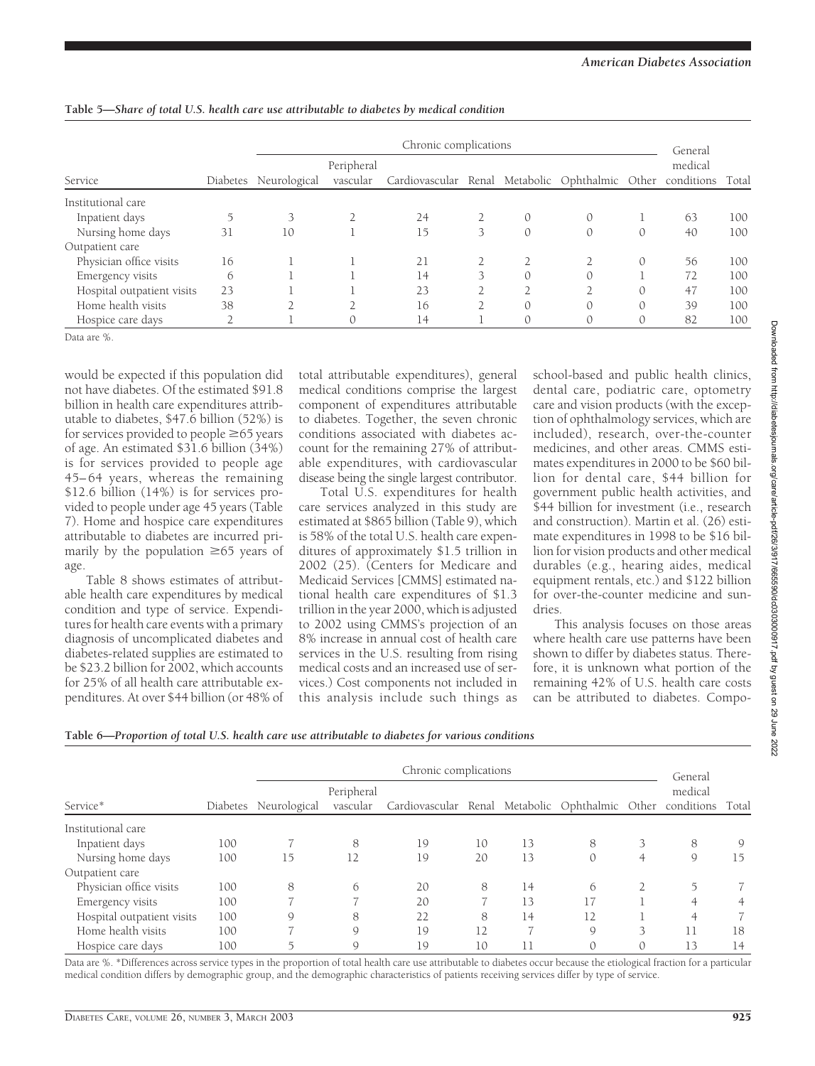|                            |    | Chronic complications |            |                                                                  |           |               |  |               | General |     |
|----------------------------|----|-----------------------|------------|------------------------------------------------------------------|-----------|---------------|--|---------------|---------|-----|
|                            |    |                       | Peripheral |                                                                  |           |               |  |               | medical |     |
| Service                    |    | Diabetes Neurological | vascular   | Cardiovascular Renal Metabolic Ophthalmic Other conditions Total |           |               |  |               |         |     |
| Institutional care         |    |                       |            |                                                                  |           |               |  |               |         |     |
| Inpatient days             |    | 3                     |            | 24                                                               |           | $\mathcal{O}$ |  |               | 63      | 100 |
| Nursing home days          | 31 | 10                    |            | 15                                                               | 3         | $\mathcal{O}$ |  | $\Omega$      | 40      | 100 |
| Outpatient care            |    |                       |            |                                                                  |           |               |  |               |         |     |
| Physician office visits    | 16 |                       |            | 21                                                               |           |               |  | $\Omega$      | 56      | 100 |
| Emergency visits           | 6  |                       |            | 14                                                               |           | $\Omega$      |  |               | 72      | 100 |
| Hospital outpatient visits | 23 |                       |            | 23                                                               |           | $\bigcap$     |  | $\Omega$      | 47      | 100 |
| Home health visits         | 38 | ∍                     | $\bigcap$  | 16                                                               | $\bigcap$ | $\mathcal{O}$ |  | $\mathcal{O}$ | 39      | 100 |
| Hospice care days          |    |                       |            | 14                                                               |           | $\mathcal{O}$ |  | 0             | 82      | 100 |

Data are %.

would be expected if this population did not have diabetes. Of the estimated \$91.8 billion in health care expenditures attributable to diabetes, \$47.6 billion (52%) is for services provided to people  $\geq 65$  years of age. An estimated \$31.6 billion (34%) is for services provided to people age 45– 64 years, whereas the remaining \$12.6 billion (14%) is for services provided to people under age 45 years (Table 7). Home and hospice care expenditures attributable to diabetes are incurred primarily by the population  $\geq 65$  years of age.

Table 8 shows estimates of attributable health care expenditures by medical condition and type of service. Expenditures for health care events with a primary diagnosis of uncomplicated diabetes and diabetes-related supplies are estimated to be \$23.2 billion for 2002, which accounts for 25% of all health care attributable expenditures. At over \$44 billion (or 48% of total attributable expenditures), general medical conditions comprise the largest component of expenditures attributable to diabetes. Together, the seven chronic conditions associated with diabetes account for the remaining 27% of attributable expenditures, with cardiovascular disease being the single largest contributor.

Total U.S. expenditures for health care services analyzed in this study are estimated at \$865 billion (Table 9), which is 58% of the total U.S. health care expenditures of approximately \$1.5 trillion in 2002 (25). (Centers for Medicare and Medicaid Services [CMMS] estimated national health care expenditures of \$1.3 trillion in the year 2000, which is adjusted to 2002 using CMMS's projection of an 8% increase in annual cost of health care services in the U.S. resulting from rising medical costs and an increased use of services.) Cost components not included in this analysis include such things as

school-based and public health clinics, dental care, podiatric care, optometry care and vision products (with the exception of ophthalmology services, which are included), research, over-the-counter medicines, and other areas. CMMS estimates expenditures in 2000 to be \$60 billion for dental care, \$44 billion for government public health activities, and \$44 billion for investment (i.e., research and construction). Martin et al. (26) estimate expenditures in 1998 to be \$16 billion for vision products and other medical durables (e.g., hearing aides, medical equipment rentals, etc.) and \$122 billion for over-the-counter medicine and sundries.

This analysis focuses on those areas where health care use patterns have been shown to differ by diabetes status. Therefore, it is unknown what portion of the remaining 42% of U.S. health care costs can be attributed to diabetes. Compo-

| Table 6-Proportion of total U.S. health care use attributable to diabetes for various conditions |  |  |  |
|--------------------------------------------------------------------------------------------------|--|--|--|
|                                                                                                  |  |  |  |

|                            |          | Chronic complications |                        |                                                                  |    |               |    |   |                    |    |
|----------------------------|----------|-----------------------|------------------------|------------------------------------------------------------------|----|---------------|----|---|--------------------|----|
| Service*                   | Diabetes | Neurological          | Peripheral<br>vascular | Cardiovascular Renal Metabolic Ophthalmic Other conditions Total |    |               |    |   | General<br>medical |    |
| Institutional care         |          |                       |                        |                                                                  |    |               |    |   |                    |    |
| Inpatient days             | 100      |                       | 8                      | 19                                                               | 10 | 13            | 8  |   | 8                  | 9  |
| Nursing home days          | 100      | 15                    | 12                     | 19                                                               | 20 | 13            |    |   | 9                  | 15 |
| Outpatient care            |          |                       |                        |                                                                  |    |               |    |   |                    |    |
| Physician office visits    | 100      | 8                     | 6                      | 20                                                               | 8  | 14            | 6  |   | 5                  |    |
| Emergency visits           | 100      |                       |                        | 20                                                               |    | 13            | 17 |   | 4                  | 4  |
| Hospital outpatient visits | 100      | Q                     | 8                      | 22                                                               | 8  | 14            | 12 |   |                    |    |
| Home health visits         | 100      |                       | $\mathcal{Q}$          | 19                                                               | 12 | $\rightarrow$ | 9  | 3 | 11                 | 18 |
| Hospice care days          | 100      |                       | 9                      | 19                                                               | 10 |               |    |   | 13                 | 14 |

Data are %. \*Differences across service types in the proportion of total health care use attributable to diabetes occur because the etiological fraction for a particular medical condition differs by demographic group, and the demographic characteristics of patients receiving services differ by type of service.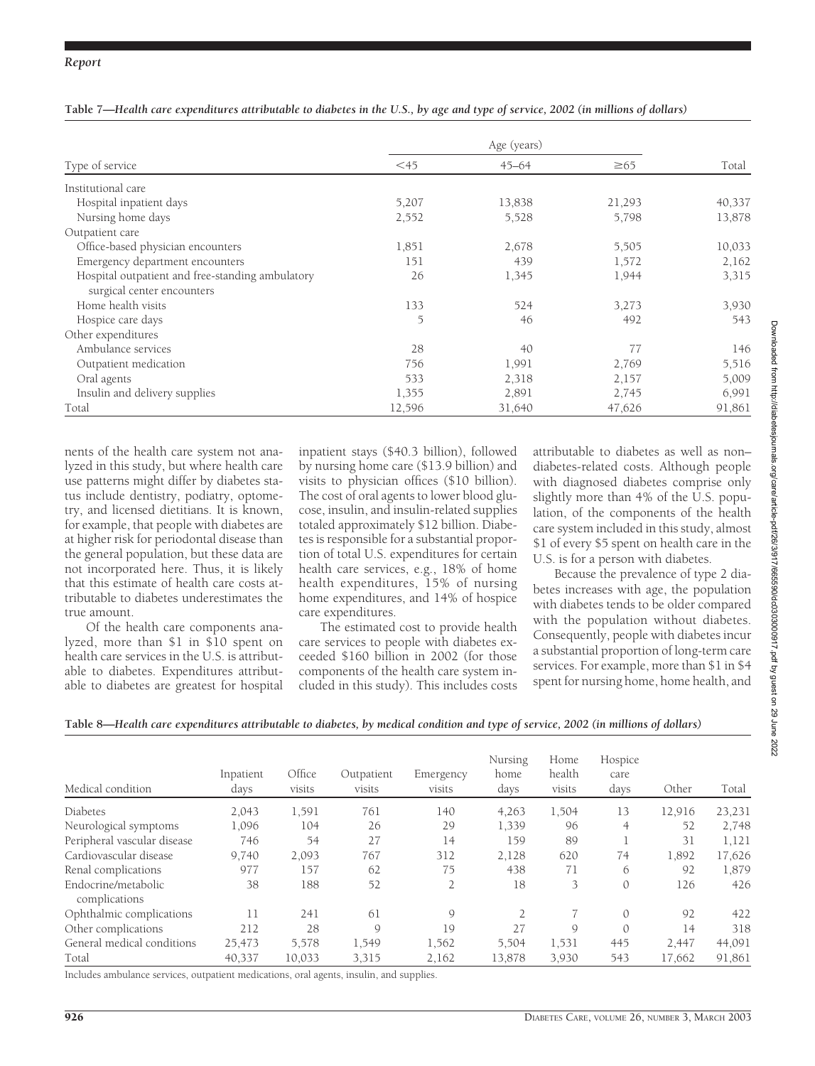#### *Report*

|                                                                                | Age (years) |           |           |        |  |  |
|--------------------------------------------------------------------------------|-------------|-----------|-----------|--------|--|--|
| Type of service                                                                | $<$ 45      | $45 - 64$ | $\geq 65$ | Total  |  |  |
| Institutional care                                                             |             |           |           |        |  |  |
| Hospital inpatient days                                                        | 5,207       | 13,838    | 21,293    | 40,337 |  |  |
| Nursing home days                                                              | 2,552       | 5,528     | 5,798     | 13,878 |  |  |
| Outpatient care                                                                |             |           |           |        |  |  |
| Office-based physician encounters                                              | 1,851       | 2,678     | 5,505     | 10,033 |  |  |
| Emergency department encounters                                                | 151         | 439       | 1,572     | 2,162  |  |  |
| Hospital outpatient and free-standing ambulatory<br>surgical center encounters | 26          | 1,345     | 1,944     | 3,315  |  |  |
| Home health visits                                                             | 133         | 524       | 3,273     | 3,930  |  |  |
| Hospice care days                                                              | 5           | 46        | 492       | 543    |  |  |
| Other expenditures                                                             |             |           |           |        |  |  |
| Ambulance services                                                             | 28          | 40        | 77        | 146    |  |  |
| Outpatient medication                                                          | 756         | 1,991     | 2,769     | 5,516  |  |  |
| Oral agents                                                                    | 533         | 2,318     | 2,157     | 5,009  |  |  |
| Insulin and delivery supplies                                                  | 1,355       | 2,891     | 2,745     | 6,991  |  |  |
| Total                                                                          | 12,596      | 31,640    | 47,626    | 91,861 |  |  |

**Table 7—***Health care expenditures attributable to diabetes in the U.S., by age and type of service, 2002 (in millions of dollars)*

nents of the health care system not analyzed in this study, but where health care use patterns might differ by diabetes status include dentistry, podiatry, optometry, and licensed dietitians. It is known, for example, that people with diabetes are at higher risk for periodontal disease than the general population, but these data are not incorporated here. Thus, it is likely that this estimate of health care costs attributable to diabetes underestimates the true amount.

Of the health care components analyzed, more than \$1 in \$10 spent on health care services in the U.S. is attributable to diabetes. Expenditures attributable to diabetes are greatest for hospital

inpatient stays (\$40.3 billion), followed by nursing home care (\$13.9 billion) and visits to physician offices (\$10 billion). The cost of oral agents to lower blood glucose, insulin, and insulin-related supplies totaled approximately \$12 billion. Diabetes is responsible for a substantial proportion of total U.S. expenditures for certain health care services, e.g., 18% of home health expenditures, 15% of nursing home expenditures, and 14% of hospice care expenditures.

The estimated cost to provide health care services to people with diabetes exceeded \$160 billion in 2002 (for those components of the health care system included in this study). This includes costs attributable to diabetes as well as non– diabetes-related costs. Although people with diagnosed diabetes comprise only slightly more than 4% of the U.S. population, of the components of the health care system included in this study, almost \$1 of every \$5 spent on health care in the U.S. is for a person with diabetes.

Because the prevalence of type 2 diabetes increases with age, the population with diabetes tends to be older compared with the population without diabetes. Consequently, people with diabetes incur a substantial proportion of long-term care services. For example, more than \$1 in \$4 spent for nursing home, home health, and

| Medical condition                    | Inpatient<br>days | Office<br>visits | Outpatient<br>visits | Emergency<br>visits | Nursing<br>home<br>days | Home<br>health<br>visits | Hospice<br>care<br>days | Other  | Total  |
|--------------------------------------|-------------------|------------------|----------------------|---------------------|-------------------------|--------------------------|-------------------------|--------|--------|
| <b>Diabetes</b>                      | 2,043             | 1,591            | 761                  | 140                 | 4,263                   | 1,504                    | 13                      | 12,916 | 23,231 |
| Neurological symptoms                | 1.096             | 104              | 26                   | 29                  | 1,339                   | 96                       | 4                       | 52     | 2,748  |
| Peripheral vascular disease          | 746               | 54               | 27                   | 14                  | 159                     | 89                       |                         | 31     | 1,121  |
| Cardiovascular disease               | 9,740             | 2,093            | 767                  | 312                 | 2,128                   | 620                      | 74                      | 1,892  | 17,626 |
| Renal complications                  | 977               | 157              | 62                   | 75                  | 438                     | 71                       | 6                       | 92     | 1,879  |
| Endocrine/metabolic<br>complications | 38                | 188              | 52                   | 2                   | 18                      | 3                        | $\mathcal{O}$           | 126    | 426    |
| Ophthalmic complications             | 11                | 241              | 61                   | 9                   |                         |                          | $\mathcal{O}$           | 92     | 422    |
| Other complications                  | 212               | 28               | 9                    | 19                  | 27                      | 9                        | $\Omega$                | 14     | 318    |
| General medical conditions           | 25,473            | 5,578            | 1,549                | 1,562               | 5,504                   | 1,531                    | 445                     | 2,447  | 44,091 |
| Total                                | 40,337            | 10,033           | 3,315                | 2,162               | 13,878                  | 3,930                    | 543                     | 17,662 | 91,861 |

**Table 8—***Health care expenditures attributable to diabetes, by medical condition and type of service, 2002 (in millions of dollars)*

Includes ambulance services, outpatient medications, oral agents, insulin, and supplies.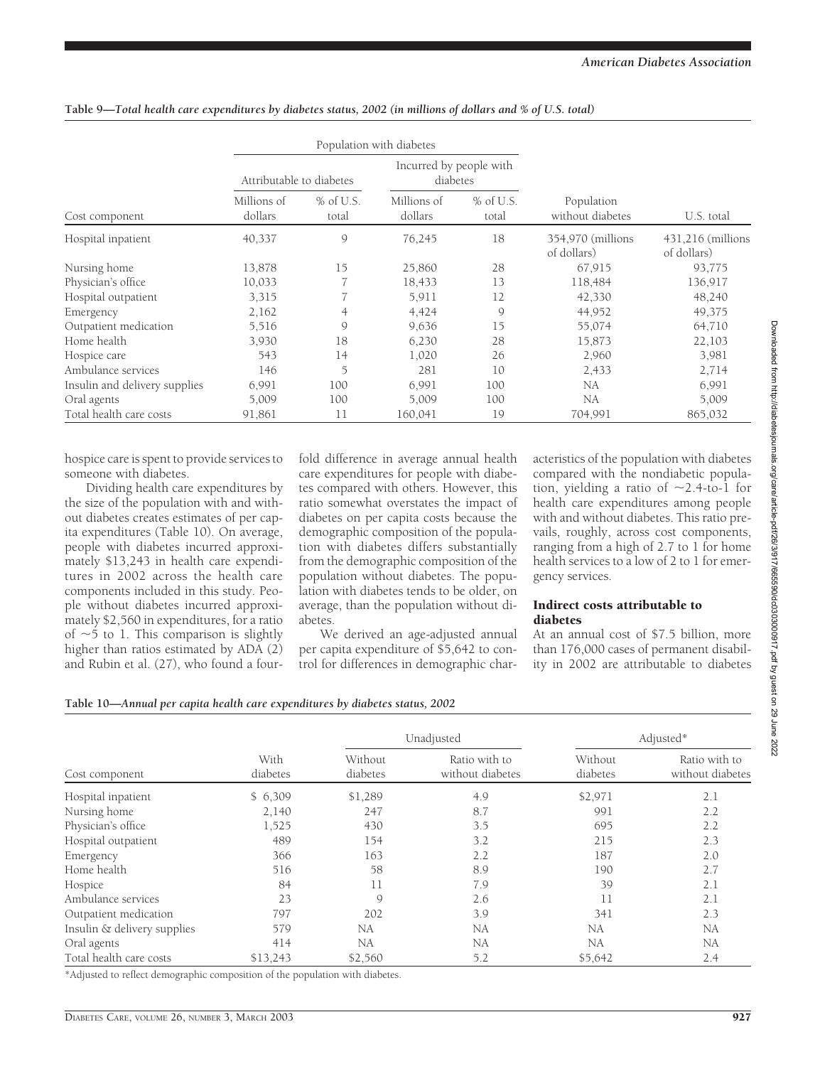|                               |                          |                      | Population with diabetes            |                      |                                   |                                    |
|-------------------------------|--------------------------|----------------------|-------------------------------------|----------------------|-----------------------------------|------------------------------------|
|                               | Attributable to diabetes |                      | Incurred by people with<br>diabetes |                      |                                   |                                    |
| Cost component                | Millions of<br>dollars   | $%$ of U.S.<br>total | Millions of<br>dollars              | $%$ of U.S.<br>total | Population<br>without diabetes    | U.S. total                         |
| Hospital inpatient            | 40,337                   | 9                    | 76,245                              | 18                   | 354,970 (millions)<br>of dollars) | $431,216$ (millions<br>of dollars) |
| Nursing home                  | 13,878                   | 15                   | 25,860                              | 28                   | 67,915                            | 93,775                             |
| Physician's office            | 10,033                   | 7                    | 18,433                              | 13                   | 118,484                           | 136,917                            |
| Hospital outpatient           | 3,315                    |                      | 5,911                               | 12                   | 42,330                            | 48,240                             |
| Emergency                     | 2,162                    | 4                    | 4,424                               | 9                    | 44,952                            | 49,375                             |
| Outpatient medication         | 5,516                    | 9                    | 9,636                               | 15                   | 55,074                            | 64,710                             |
| Home health                   | 3,930                    | 18                   | 6,230                               | 28                   | 15,873                            | 22,103                             |
| Hospice care                  | 543                      | 14                   | 1,020                               | 26                   | 2,960                             | 3,981                              |
| Ambulance services            | 146                      | 5                    | 281                                 | 10                   | 2,433                             | 2,714                              |
| Insulin and delivery supplies | 6,991                    | 100                  | 6,991                               | 100                  | NA                                | 6,991                              |
| Oral agents                   | 5,009                    | 100                  | 5,009                               | 100                  | NA.                               | 5,009                              |
| Total health care costs       | 91,861                   | 11                   | 160,041                             | 19                   | 704,991                           | 865,032                            |

**Table 9—***Total health care expenditures by diabetes status, 2002 (in millions of dollars and % of U.S. total)*

hospice care is spent to provide services to someone with diabetes.

Dividing health care expenditures by the size of the population with and without diabetes creates estimates of per capita expenditures (Table 10). On average, people with diabetes incurred approximately \$13,243 in health care expenditures in 2002 across the health care components included in this study. People without diabetes incurred approximately \$2,560 in expenditures, for a ratio of  $\sim$  5 to 1. This comparison is slightly higher than ratios estimated by ADA (2) and Rubin et al. (27), who found a four-

fold difference in average annual health care expenditures for people with diabetes compared with others. However, this ratio somewhat overstates the impact of diabetes on per capita costs because the demographic composition of the population with diabetes differs substantially from the demographic composition of the population without diabetes. The population with diabetes tends to be older, on average, than the population without diabetes.

We derived an age-adjusted annual per capita expenditure of \$5,642 to control for differences in demographic characteristics of the population with diabetes compared with the nondiabetic population, yielding a ratio of  $\sim$ 2.4-to-1 for health care expenditures among people with and without diabetes. This ratio prevails, roughly, across cost components, ranging from a high of 2.7 to 1 for home health services to a low of 2 to 1 for emergency services.

## Indirect costs attributable to diabetes

At an annual cost of \$7.5 billion, more than 176,000 cases of permanent disability in 2002 are attributable to diabetes

#### **Table 10—***Annual per capita health care expenditures by diabetes status, 2002*

|                             |                  |                     | Unadjusted                        | Adjusted*           |                                   |
|-----------------------------|------------------|---------------------|-----------------------------------|---------------------|-----------------------------------|
| Cost component              | With<br>diabetes | Without<br>diabetes | Ratio with to<br>without diabetes | Without<br>diabetes | Ratio with to<br>without diabetes |
| Hospital inpatient          | \$6,309          | \$1,289             | 4.9                               | \$2,971             | 2.1                               |
| Nursing home                | 2,140            | 247                 | 8.7                               | 991                 | 2.2                               |
| Physician's office          | 1,525            | 430                 | 3.5                               | 695                 | 2.2                               |
| Hospital outpatient         | 489              | 154                 | 3.2                               | 215                 | 2.3                               |
| Emergency                   | 366              | 163                 | 2.2                               | 187                 | 2.0                               |
| Home health                 | 516              | 58                  | 8.9                               | 190                 | 2.7                               |
| Hospice                     | 84               | 11                  | 7.9                               | 39                  | 2.1                               |
| Ambulance services          | 23               | 9                   | 2.6                               | $\overline{11}$     | 2.1                               |
| Outpatient medication       | 797              | 202                 | 3.9                               | 341                 | 2.3                               |
| Insulin & delivery supplies | 579              | NA                  | NA                                | NA                  | NA                                |
| Oral agents                 | 414              | NA                  | NA                                | NA                  | <b>NA</b>                         |
| Total health care costs     | \$13,243         | \$2,560             | 5.2                               | \$5,642             | 2.4                               |

\*Adjusted to reflect demographic composition of the population with diabetes.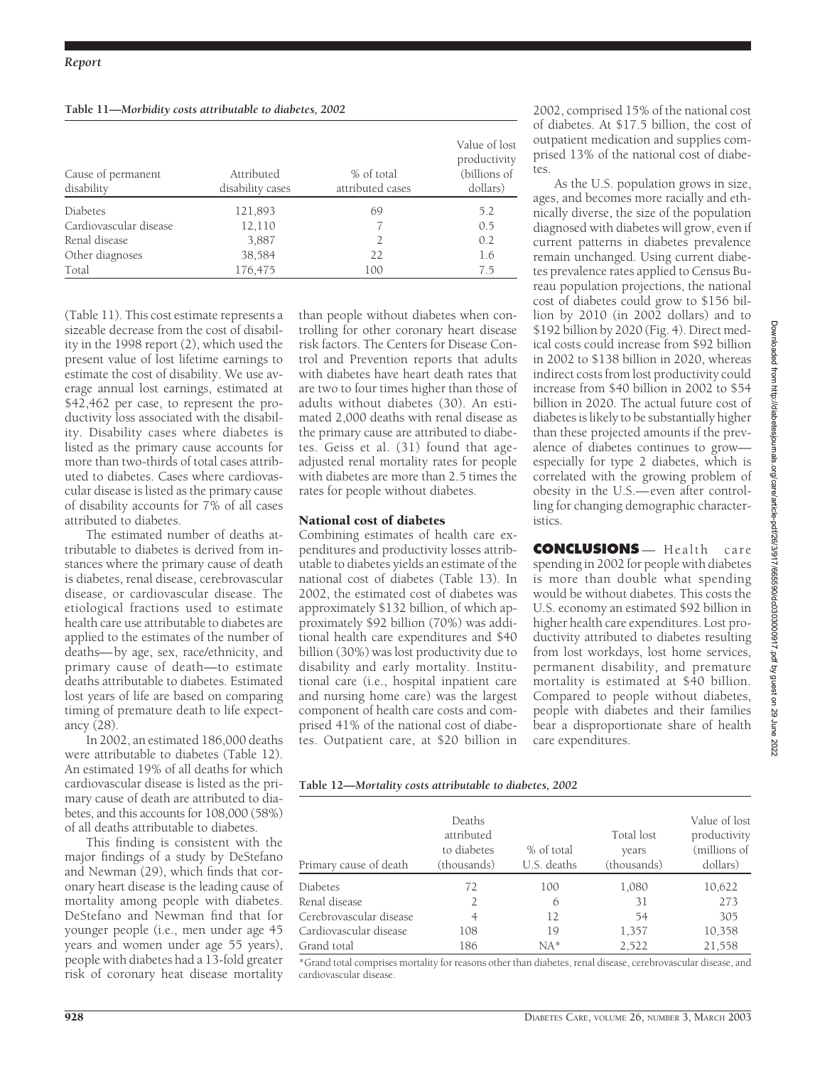| Table 11-Morbidity costs attributable to diabetes, 2002 |  |  |  |
|---------------------------------------------------------|--|--|--|
|                                                         |  |  |  |

| Cause of permanent<br>disability | Attributed<br>disability cases | % of total<br>attributed cases | Value of lost<br>productivity<br>(billions of<br>dollars) |
|----------------------------------|--------------------------------|--------------------------------|-----------------------------------------------------------|
| Diabetes                         | 121,893                        | 69                             | 5.2                                                       |
| Cardiovascular disease           | 12,110                         |                                | 0.5                                                       |
| Renal disease                    | 3,887                          | 2                              | 0.2                                                       |
| Other diagnoses                  | 38,584                         | 22                             | 1.6                                                       |
| Total                            | 176,475                        | 100                            | 7.5                                                       |

(Table 11). This cost estimate represents a sizeable decrease from the cost of disability in the 1998 report (2), which used the present value of lost lifetime earnings to estimate the cost of disability. We use average annual lost earnings, estimated at \$42,462 per case, to represent the productivity loss associated with the disability. Disability cases where diabetes is listed as the primary cause accounts for more than two-thirds of total cases attributed to diabetes. Cases where cardiovascular disease is listed as the primary cause of disability accounts for 7% of all cases attributed to diabetes.

The estimated number of deaths attributable to diabetes is derived from instances where the primary cause of death is diabetes, renal disease, cerebrovascular disease, or cardiovascular disease. The etiological fractions used to estimate health care use attributable to diabetes are applied to the estimates of the number of deaths—by age, sex, race/ethnicity, and primary cause of death—to estimate deaths attributable to diabetes. Estimated lost years of life are based on comparing timing of premature death to life expectancy (28).

In 2002, an estimated 186,000 deaths were attributable to diabetes (Table 12). An estimated 19% of all deaths for which cardiovascular disease is listed as the primary cause of death are attributed to diabetes, and this accounts for 108,000 (58%) of all deaths attributable to diabetes.

This finding is consistent with the major findings of a study by DeStefano and Newman (29), which finds that coronary heart disease is the leading cause of mortality among people with diabetes. DeStefano and Newman find that for younger people (i.e., men under age 45 years and women under age 55 years), people with diabetes had a 13-fold greater risk of coronary heat disease mortality

than people without diabetes when controlling for other coronary heart disease risk factors. The Centers for Disease Control and Prevention reports that adults with diabetes have heart death rates that are two to four times higher than those of adults without diabetes (30). An estimated 2,000 deaths with renal disease as the primary cause are attributed to diabetes. Geiss et al. (31) found that ageadjusted renal mortality rates for people with diabetes are more than 2.5 times the rates for people without diabetes.

## National cost of diabetes

Combining estimates of health care expenditures and productivity losses attributable to diabetes yields an estimate of the national cost of diabetes (Table 13). In 2002, the estimated cost of diabetes was approximately \$132 billion, of which approximately \$92 billion (70%) was additional health care expenditures and \$40 billion (30%) was lost productivity due to disability and early mortality. Institutional care (i.e., hospital inpatient care and nursing home care) was the largest component of health care costs and comprised 41% of the national cost of diabetes. Outpatient care, at \$20 billion in

2002, comprised 15% of the national cost of diabetes. At \$17.5 billion, the cost of outpatient medication and supplies comprised 13% of the national cost of diabetes.

As the U.S. population grows in size, ages, and becomes more racially and ethnically diverse, the size of the population diagnosed with diabetes will grow, even if current patterns in diabetes prevalence remain unchanged. Using current diabetes prevalence rates applied to Census Bureau population projections, the national cost of diabetes could grow to \$156 billion by 2010 (in 2002 dollars) and to \$192 billion by 2020 (Fig. 4). Direct medical costs could increase from \$92 billion in 2002 to \$138 billion in 2020, whereas indirect costs from lost productivity could increase from \$40 billion in 2002 to \$54 billion in 2020. The actual future cost of diabetes is likely to be substantially higher than these projected amounts if the prevalence of diabetes continues to grow especially for type 2 diabetes, which is correlated with the growing problem of obesity in the U.S.—even after controlling for changing demographic characteristics.

**CONCLUSIONS** — Health care spending in 2002 for people with diabetes is more than double what spending would be without diabetes. This costs the U.S. economy an estimated \$92 billion in higher health care expenditures. Lost productivity attributed to diabetes resulting from lost workdays, lost home services, permanent disability, and premature mortality is estimated at \$40 billion. Compared to people without diabetes, people with diabetes and their families bear a disproportionate share of health care expenditures.

#### **Table 12—***Mortality costs attributable to diabetes, 2002*

| Primary cause of death  | Deaths<br>attributed<br>to diabetes<br>(thousands) | % of total<br>U.S. deaths | Total lost<br>vears<br>(thousands) | Value of lost<br>productivity<br>(millions of<br>dollars) |
|-------------------------|----------------------------------------------------|---------------------------|------------------------------------|-----------------------------------------------------------|
| Diabetes                | 72                                                 | 100                       | 1,080                              | 10,622                                                    |
| Renal disease           |                                                    | 6                         | 31                                 | 273                                                       |
| Cerebrovascular disease | 4                                                  | 12                        | 54                                 | 305                                                       |
| Cardiovascular disease  | 108                                                | 19                        | 1,357                              | 10,358                                                    |
| Grand total             | 186                                                | $NA^*$                    | 2,522                              | 21,558                                                    |

\*Grand total comprises mortality for reasons other than diabetes, renal disease, cerebrovascular disease, and cardiovascular disease.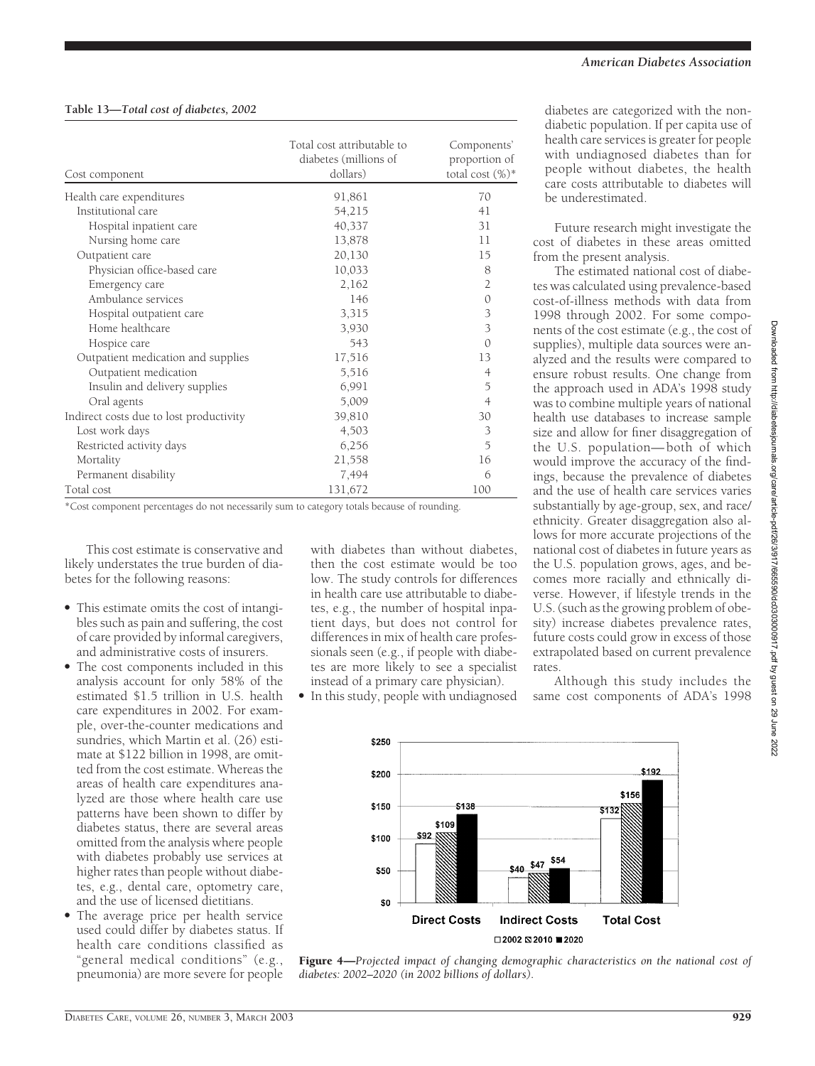# **Table 13—***Total cost of diabetes, 2002*

| Cost component                          | Total cost attributable to<br>diabetes (millions of<br>dollars) | Components'<br>proportion of<br>total cost $(\%)^*$ |
|-----------------------------------------|-----------------------------------------------------------------|-----------------------------------------------------|
| Health care expenditures                | 91,861                                                          | 70                                                  |
| Institutional care                      | 54,215                                                          | 41                                                  |
| Hospital inpatient care                 | 40,337                                                          | 31                                                  |
| Nursing home care                       | 13,878                                                          | 11                                                  |
| Outpatient care                         | 20,130                                                          | 15                                                  |
| Physician office-based care             | 10,033                                                          | 8                                                   |
| Emergency care                          | 2,162                                                           | $\overline{2}$                                      |
| Ambulance services                      | 146                                                             | 0                                                   |
| Hospital outpatient care                | 3,315                                                           | 3                                                   |
| Home healthcare                         | 3,930                                                           | 3                                                   |
| Hospice care                            | 543                                                             | 0                                                   |
| Outpatient medication and supplies      | 17,516                                                          | 13                                                  |
| Outpatient medication                   | 5,516                                                           | $\overline{4}$                                      |
| Insulin and delivery supplies           | 6,991                                                           | 5                                                   |
| Oral agents                             | 5,009                                                           | $\overline{4}$                                      |
| Indirect costs due to lost productivity | 39,810                                                          | 30                                                  |
| Lost work days                          | 4,503                                                           | 3                                                   |
| Restricted activity days                | 6,256                                                           | 5                                                   |
| Mortality                               | 21,558                                                          | 16                                                  |
| Permanent disability                    | 7,494                                                           | 6                                                   |
| Total cost                              | 131,672                                                         | 100                                                 |

\*Cost component percentages do not necessarily sum to category totals because of rounding.

This cost estimate is conservative and likely understates the true burden of diabetes for the following reasons:

- This estimate omits the cost of intangibles such as pain and suffering, the cost of care provided by informal caregivers, and administrative costs of insurers.
- The cost components included in this analysis account for only 58% of the estimated \$1.5 trillion in U.S. health care expenditures in 2002. For example, over-the-counter medications and sundries, which Martin et al. (26) estimate at \$122 billion in 1998, are omitted from the cost estimate. Whereas the areas of health care expenditures analyzed are those where health care use patterns have been shown to differ by diabetes status, there are several areas omitted from the analysis where people with diabetes probably use services at higher rates than people without diabetes, e.g., dental care, optometry care, and the use of licensed dietitians.
- The average price per health service used could differ by diabetes status. If health care conditions classified as "general medical conditions" (e.g., pneumonia) are more severe for people

with diabetes than without diabetes, then the cost estimate would be too low. The study controls for differences in health care use attributable to diabetes, e.g., the number of hospital inpatient days, but does not control for differences in mix of health care professionals seen (e.g., if people with diabetes are more likely to see a specialist instead of a primary care physician).

• In this study, people with undiagnosed

diabetes are categorized with the nondiabetic population. If per capita use of health care services is greater for people with undiagnosed diabetes than for people without diabetes, the health care costs attributable to diabetes will be underestimated.

Future research might investigate the cost of diabetes in these areas omitted from the present analysis.

The estimated national cost of diabetes was calculated using prevalence-based cost-of-illness methods with data from 1998 through 2002. For some components of the cost estimate (e.g., the cost of supplies), multiple data sources were analyzed and the results were compared to ensure robust results. One change from the approach used in ADA's 1998 study was to combine multiple years of national health use databases to increase sample size and allow for finer disaggregation of the U.S. population—both of which would improve the accuracy of the findings, because the prevalence of diabetes and the use of health care services varies substantially by age-group, sex, and race/ ethnicity. Greater disaggregation also allows for more accurate projections of the national cost of diabetes in future years as the U.S. population grows, ages, and becomes more racially and ethnically diverse. However, if lifestyle trends in the U.S. (such as the growing problem of obesity) increase diabetes prevalence rates, future costs could grow in excess of those extrapolated based on current prevalence rates.

Although this study includes the same cost components of ADA's 1998



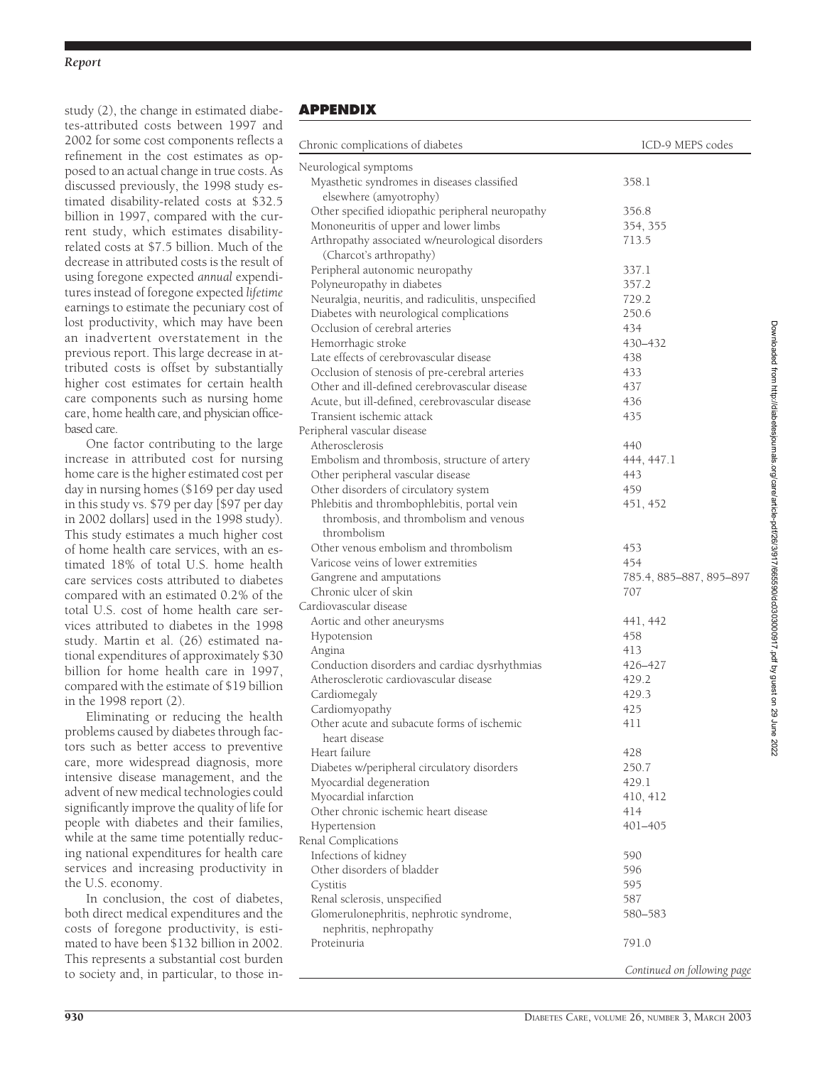#### *Report*

study (2), the change in estimated diabetes-attributed costs between 1997 and 2002 for some cost components reflects a refinement in the cost estimates as opposed to an actual change in true costs. As discussed previously, the 1998 study estimated disability-related costs at \$32.5 billion in 1997, compared with the current study, which estimates disabilityrelated costs at \$7.5 billion. Much of the decrease in attributed costs is the result of using foregone expected *annual* expenditures instead of foregone expected *lifetime* earnings to estimate the pecuniary cost of lost productivity, which may have been an inadvertent overstatement in the previous report. This large decrease in attributed costs is offset by substantially higher cost estimates for certain health care components such as nursing home care, home health care, and physician officebased care.

One factor contributing to the large increase in attributed cost for nursing home care is the higher estimated cost per day in nursing homes (\$169 per day used in this study vs. \$79 per day [\$97 per day in 2002 dollars] used in the 1998 study). This study estimates a much higher cost of home health care services, with an estimated 18% of total U.S. home health care services costs attributed to diabetes compared with an estimated 0.2% of the total U.S. cost of home health care services attributed to diabetes in the 1998 study. Martin et al. (26) estimated national expenditures of approximately \$30 billion for home health care in 1997, compared with the estimate of \$19 billion in the 1998 report (2).

Eliminating or reducing the health problems caused by diabetes through factors such as better access to preventive care, more widespread diagnosis, more intensive disease management, and the advent of new medical technologies could significantly improve the quality of life for people with diabetes and their families, while at the same time potentially reducing national expenditures for health care services and increasing productivity in the U.S. economy.

In conclusion, the cost of diabetes. both direct medical expenditures and the costs of foregone productivity, is estimated to have been \$132 billion in 2002. This represents a substantial cost burden to society and, in particular, to those in-

## **APPENDIX**

| Chronic complications of diabetes                 | ICD-9 MEPS codes            |
|---------------------------------------------------|-----------------------------|
| Neurological symptoms                             |                             |
| Myasthetic syndromes in diseases classified       | 358.1                       |
| elsewhere (amyotrophy)                            |                             |
| Other specified idiopathic peripheral neuropathy  | 356.8                       |
| Mononeuritis of upper and lower limbs             | 354, 355                    |
| Arthropathy associated w/neurological disorders   | 713.5                       |
| (Charcot's arthropathy)                           |                             |
| Peripheral autonomic neuropathy                   | 337.1                       |
| Polyneuropathy in diabetes                        | 357.2                       |
| Neuralgia, neuritis, and radiculitis, unspecified | 729.2                       |
| Diabetes with neurological complications          | 250.6                       |
| Occlusion of cerebral arteries                    | 434                         |
| Hemorrhagic stroke                                | 430-432                     |
| Late effects of cerebrovascular disease           | 438                         |
| Occlusion of stenosis of pre-cerebral arteries    | 433                         |
| Other and ill-defined cerebrovascular disease     | 437                         |
| Acute, but ill-defined, cerebrovascular disease   | 436                         |
| Transient ischemic attack                         | 435                         |
| Peripheral vascular disease                       |                             |
| Atherosclerosis                                   | 440                         |
| Embolism and thrombosis, structure of artery      | 444, 447.1                  |
| Other peripheral vascular disease                 | 443                         |
| Other disorders of circulatory system             | 459                         |
| Phlebitis and thrombophlebitis, portal vein       | 451, 452                    |
| thrombosis, and thrombolism and venous            |                             |
| thrombolism                                       |                             |
| Other venous embolism and thrombolism             | 453                         |
| Varicose veins of lower extremities               | 454                         |
| Gangrene and amputations                          | 785.4, 885–887, 895–897     |
| Chronic ulcer of skin                             | 707                         |
| Cardiovascular disease                            |                             |
| Aortic and other aneurysms                        | 441, 442                    |
| Hypotension                                       | 458                         |
| Angina                                            | 413                         |
| Conduction disorders and cardiac dysrhythmias     | 426-427                     |
| Atherosclerotic cardiovascular disease            | 429.2                       |
| Cardiomegaly                                      | 429.3                       |
| Cardiomyopathy                                    | 425                         |
| Other acute and subacute forms of ischemic        | 411                         |
| heart disease                                     |                             |
| Heart failure                                     | 428                         |
| Diabetes w/peripheral circulatory disorders       | 250.7                       |
| Myocardial degeneration                           | 429.1                       |
| Myocardial infarction                             | 410, 412                    |
| Other chronic ischemic heart disease              | 414                         |
| Hypertension                                      | 401-405                     |
| Renal Complications                               |                             |
| Infections of kidney                              | 590                         |
| Other disorders of bladder                        | 596                         |
| Cystitis                                          | 595                         |
| Renal sclerosis, unspecified                      | 587                         |
| Glomerulonephritis, nephrotic syndrome,           | 580-583                     |
| nephritis, nephropathy                            |                             |
| Proteinuria                                       | 791.0                       |
|                                                   | Continued on following page |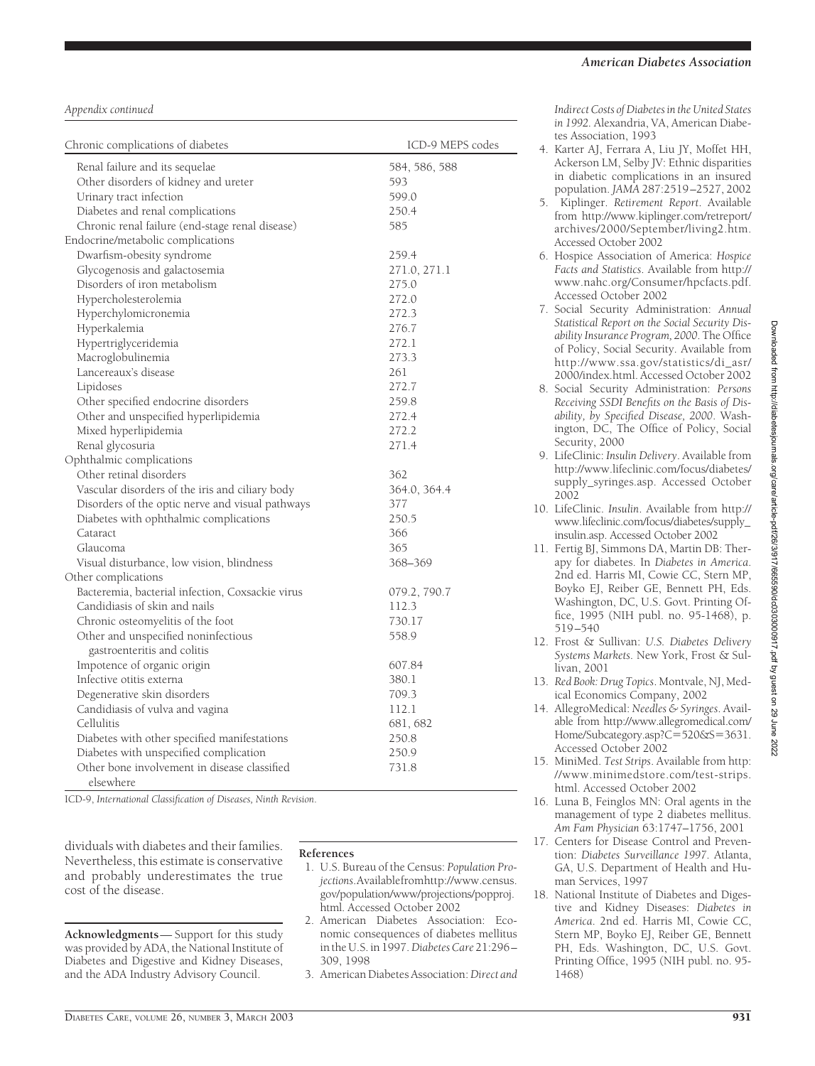#### *Appendix continued*

|                                                  | ICD-9 MEPS codes |
|--------------------------------------------------|------------------|
| Chronic complications of diabetes                |                  |
| Renal failure and its sequelae                   | 584, 586, 588    |
| Other disorders of kidney and ureter             | 593              |
| Urinary tract infection                          | 599.0            |
| Diabetes and renal complications                 | 250.4            |
| Chronic renal failure (end-stage renal disease)  | 585              |
| Endocrine/metabolic complications                |                  |
| Dwarfism-obesity syndrome                        | 259.4            |
| Glycogenosis and galactosemia                    | 271.0, 271.1     |
| Disorders of iron metabolism                     | 275.0            |
| Hypercholesterolemia                             | 272.0            |
| Hyperchylomicronemia                             | 272.3            |
| Hyperkalemia                                     | 276.7            |
| Hypertriglyceridemia                             | 272.1            |
| Macroglobulinemia                                | 273.3            |
| Lancereaux's disease                             | 261              |
| Lipidoses                                        | 272.7            |
| Other specified endocrine disorders              | 259.8            |
| Other and unspecified hyperlipidemia             | 272.4            |
| Mixed hyperlipidemia                             | 272.2            |
| Renal glycosuria                                 | 271.4            |
| Ophthalmic complications                         |                  |
| Other retinal disorders                          | 362              |
| Vascular disorders of the iris and ciliary body  | 364.0, 364.4     |
| Disorders of the optic nerve and visual pathways | 377              |
| Diabetes with ophthalmic complications           | 250.5            |
| Cataract                                         | 366              |
| Glaucoma                                         | 365              |
| Visual disturbance, low vision, blindness        | 368-369          |
| Other complications                              |                  |
| Bacteremia, bacterial infection, Coxsackie virus | 079.2, 790.7     |
| Candidiasis of skin and nails                    | 112.3            |
| Chronic osteomyelitis of the foot                | 730.17           |
| Other and unspecified noninfectious              | 558.9            |
| gastroenteritis and colitis                      |                  |
| Impotence of organic origin                      | 607.84           |
| Infective otitis externa                         | 380.1            |
| Degenerative skin disorders                      | 709.3            |
| Candidiasis of vulva and vagina                  | 112.1            |
| Cellulitis                                       | 681, 682         |
| Diabetes with other specified manifestations     | 250.8            |
| Diabetes with unspecified complication           | 250.9            |
| Other bone involvement in disease classified     | 731.8            |
| elsewhere                                        |                  |

ICD-9, *International Classification of Diseases, Ninth Revision*.

dividuals with diabetes and their families. Nevertheless, this estimate is conservative and probably underestimates the true cost of the disease.

**Acknowledgments**— Support for this study was provided by ADA, the National Institute of Diabetes and Digestive and Kidney Diseases, and the ADA Industry Advisory Council.

#### **References**

- 1. U.S. Bureau of the Census: *Population Projections*.Availablefromhttp://www.census. gov/population/www/projections/popproj. html. Accessed October 2002
- 2. American Diabetes Association: Economic consequences of diabetes mellitus in the U.S. in 1997.*Diabetes Care* 21:296– 309, 1998
- 3. American Diabetes Association:*Direct and*

*Indirect Costs of Diabetes in the United States in 1992.* Alexandria, VA, American Diabetes Association, 1993

- 4. Karter AJ, Ferrara A, Liu JY, Moffet HH, Ackerson LM, Selby JV: Ethnic disparities in diabetic complications in an insured population. *JAMA* 287:2519–2527, 2002
- 5. Kiplinger. *Retirement Report*. Available from http://www.kiplinger.com/retreport/ archives/2000/September/living2.htm. Accessed October 2002
- 6. Hospice Association of America: *Hospice Facts and Statistics*. Available from http:// www.nahc.org/Consumer/hpcfacts.pdf. Accessed October 2002
- 7. Social Security Administration: *Annual Statistical Report on the Social Security Disability Insurance Program, 2000*. The Office of Policy, Social Security. Available from http://www.ssa.gov/statistics/di\_asr/ 2000/index.html. Accessed October 2002
- 8. Social Security Administration: *Persons Receiving SSDI Benefits on the Basis of Disability, by Specified Disease, 2000*. Washington, DC, The Office of Policy, Social Security, 2000
- 9. LifeClinic: *Insulin Delivery*. Available from http://www.lifeclinic.com/focus/diabetes/ supply\_syringes.asp. Accessed October 2002
- 10. LifeClinic. *Insulin*. Available from http:// www.lifeclinic.com/focus/diabetes/supply\_ insulin.asp. Accessed October 2002
- 11. Fertig BJ, Simmons DA, Martin DB: Therapy for diabetes. In *Diabetes in America*. 2nd ed. Harris MI, Cowie CC, Stern MP, Boyko EJ, Reiber GE, Bennett PH, Eds. Washington, DC, U.S. Govt. Printing Office, 1995 (NIH publ. no. 95-1468), p. 519–540
- 12. Frost & Sullivan: *U.S. Diabetes Delivery Systems Markets*. New York, Frost & Sullivan, 2001
- 13. *Red Book: Drug Topics*. Montvale, NJ, Medical Economics Company, 2002
- 14. AllegroMedical: *Needles & Syringes*. Available from http://www.allegromedical.com/ Home/Subcategory.asp?C=520&S=3631. Accessed October 2002
- 15. MiniMed. *Test Strips*. Available from http: //www.minimedstore.com/test-strips. html. Accessed October 2002
- 16. Luna B, Feinglos MN: Oral agents in the management of type 2 diabetes mellitus. *Am Fam Physician* 63:1747–1756, 2001
- 17. Centers for Disease Control and Prevention: *Diabetes Surveillance 1997*. Atlanta, GA, U.S. Department of Health and Human Services, 1997
- 18. National Institute of Diabetes and Digestive and Kidney Diseases: *Diabetes in America*. 2nd ed. Harris MI, Cowie CC, Stern MP, Boyko EJ, Reiber GE, Bennett PH, Eds. Washington, DC, U.S. Govt. Printing Office, 1995 (NIH publ. no. 95- 1468)